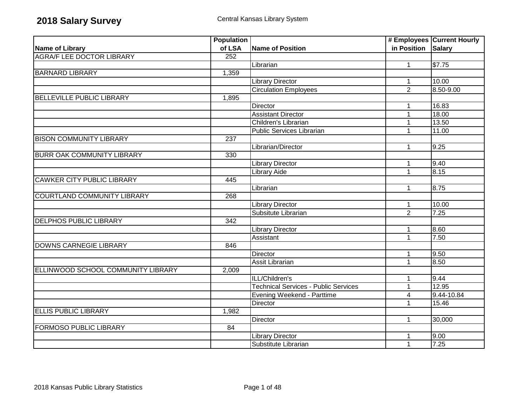|                                    | <b>Population</b> |                                             |                    | # Employees Current Hourly |
|------------------------------------|-------------------|---------------------------------------------|--------------------|----------------------------|
| Name of Library                    | of LSA            | <b>Name of Position</b>                     | in Position Salary |                            |
| <b>AGRA/F LEE DOCTOR LIBRARY</b>   | $\overline{252}$  |                                             |                    |                            |
|                                    |                   | Librarian                                   | $\mathbf{1}$       | \$7.75                     |
| <b>BARNARD LIBRARY</b>             | 1,359             |                                             |                    |                            |
|                                    |                   | <b>Library Director</b>                     | $\mathbf{1}$       | 10.00                      |
|                                    |                   | <b>Circulation Employees</b>                | $\overline{2}$     | $8.50 - 9.00$              |
| <b>BELLEVILLE PUBLIC LIBRARY</b>   | 1,895             |                                             |                    |                            |
|                                    |                   | <b>Director</b>                             | $\mathbf{1}$       | 16.83                      |
|                                    |                   | <b>Assistant Director</b>                   | $\mathbf{1}$       | 18.00                      |
|                                    |                   | Children's Librarian                        | $\mathbf{1}$       | 13.50                      |
|                                    |                   | <b>Public Services Librarian</b>            | $\mathbf{1}$       | 11.00                      |
| <b>BISON COMMUNITY LIBRARY</b>     | $\overline{237}$  |                                             |                    |                            |
|                                    |                   | Librarian/Director                          | $\mathbf{1}$       | 9.25                       |
| <b>BURR OAK COMMUNITY LIBRARY</b>  | 330               |                                             |                    |                            |
|                                    |                   | <b>Library Director</b>                     | $\mathbf{1}$       | 9.40                       |
|                                    |                   | Library Aide                                | $\mathbf{1}$       | 8.15                       |
| <b>CAWKER CITY PUBLIC LIBRARY</b>  | 445               |                                             |                    |                            |
|                                    |                   | Librarian                                   | $\mathbf{1}$       | 8.75                       |
| COURTLAND COMMUNITY LIBRARY        | 268               |                                             |                    |                            |
|                                    |                   | <b>Library Director</b>                     | $\mathbf{1}$       | 10.00                      |
|                                    |                   | Subsitute Librarian                         | $\overline{2}$     | 7.25                       |
| <b>DELPHOS PUBLIC LIBRARY</b>      | 342               |                                             |                    |                            |
|                                    |                   | <b>Library Director</b>                     | 1                  | 8.60                       |
|                                    |                   | Assistant                                   | $\mathbf{1}$       | 7.50                       |
| <b>DOWNS CARNEGIE LIBRARY</b>      | 846               |                                             |                    |                            |
|                                    |                   | <b>Director</b>                             | $\mathbf{1}$       | 9.50                       |
|                                    |                   | Assit Librarian                             | $\overline{1}$     | 8.50                       |
| ELLINWOOD SCHOOL COMMUNITY LIBRARY | 2,009             |                                             |                    |                            |
|                                    |                   | ILL/Children's                              | 1                  | 9.44                       |
|                                    |                   | <b>Technical Services - Public Services</b> | $\overline{1}$     | 12.95                      |
|                                    |                   | Evening Weekend - Parttime                  | 4                  | 9.44-10.84                 |
|                                    |                   | Director                                    | $\mathbf{1}$       | 15.46                      |
| <b>ELLIS PUBLIC LIBRARY</b>        | 1,982             |                                             |                    |                            |
|                                    |                   | Director                                    | $\mathbf{1}$       | 30,000                     |
| <b>FORMOSO PUBLIC LIBRARY</b>      | 84                |                                             |                    |                            |
|                                    |                   | <b>Library Director</b>                     | 1                  | 9.00                       |
|                                    |                   | Substitute Librarian                        | $\mathbf{1}$       | 7.25                       |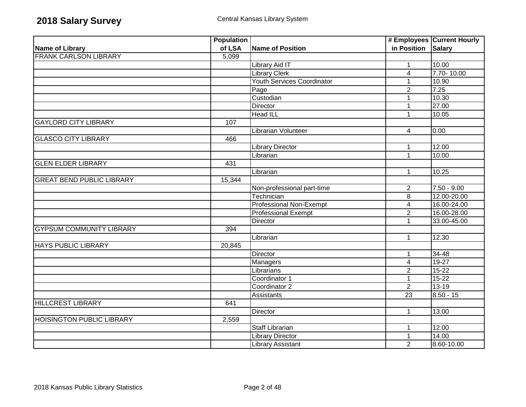|                                  | <b>Population</b> |                                   |                         | # Employees Current Hourly |
|----------------------------------|-------------------|-----------------------------------|-------------------------|----------------------------|
| <b>Name of Library</b>           | of LSA            | <b>Name of Position</b>           | in Position             | Salary                     |
| <b>FRANK CARLSON LIBRARY</b>     | 5,099             |                                   |                         |                            |
|                                  |                   | Library Aid IT                    | $\mathbf{1}$            | 10.00                      |
|                                  |                   | <b>Library Clerk</b>              | $\overline{4}$          | 7.70-10.00                 |
|                                  |                   | <b>Youth Services Coordinator</b> | $\mathbf{1}$            | 10.90                      |
|                                  |                   | Page                              | $\overline{2}$          | 7.25                       |
|                                  |                   | Custodian                         | $\mathbf{1}$            | 10.30                      |
|                                  |                   | Director                          | $\mathbf{1}$            | 27.00                      |
|                                  |                   | <b>Head ILL</b>                   | $\mathbf{1}$            | 10.05                      |
| <b>GAYLORD CITY LIBRARY</b>      | 107               |                                   |                         |                            |
|                                  |                   | Librarian Volunteer               | 4                       | 0.00                       |
| <b>GLASCO CITY LIBRARY</b>       | 466               |                                   |                         |                            |
|                                  |                   | <b>Library Director</b>           | $\mathbf{1}$            | 12.00                      |
|                                  |                   | Librarian                         | $\mathbf{1}$            | 10.00                      |
| <b>GLEN ELDER LIBRARY</b>        | 431               |                                   |                         |                            |
|                                  |                   | Librarian                         | $\mathbf{1}$            | 10.25                      |
| <b>GREAT BEND PUBLIC LIBRARY</b> | 15,344            |                                   |                         |                            |
|                                  |                   | Non-professional part-time        | $\overline{2}$          | $7.50 - 9.00$              |
|                                  |                   | Technician                        | 8                       | 12.00-20.00                |
|                                  |                   | <b>Professional Non-Exempt</b>    | $\overline{\mathbf{4}}$ | 16.00-24.00                |
|                                  |                   | <b>Professional Exempt</b>        | $\overline{2}$          | 16.00-28.00                |
|                                  |                   | <b>Director</b>                   | $\mathbf{1}$            | 33.00-45.00                |
| <b>GYPSUM COMMUNITY LIBRARY</b>  | 394               |                                   |                         |                            |
|                                  |                   | Librarian                         | 1                       | 12.30                      |
| <b>HAYS PUBLIC LIBRARY</b>       | 20,845            |                                   |                         |                            |
|                                  |                   | Director                          | $\mathbf 1$             | $34 - 48$                  |
|                                  |                   | Managers                          | $\overline{4}$          | $19-27$                    |
|                                  |                   | Librarians                        | $\overline{2}$          | $15 - 22$                  |
|                                  |                   | Coordinator 1                     | $\mathbf{1}$            | $15 - 22$                  |
|                                  |                   | Coordinator 2                     | $\overline{2}$          | $13 - 19$                  |
|                                  |                   | Assistants                        | 23                      | $8.50 - 15$                |
| <b>HILLCREST LIBRARY</b>         | 641               |                                   |                         |                            |
|                                  |                   | Director                          | $\mathbf{1}$            | 13.00                      |
| <b>HOISINGTON PUBLIC LIBRARY</b> | 2,559             |                                   |                         |                            |
|                                  |                   | <b>Staff Librarian</b>            | $\mathbf 1$             | 12.00                      |
|                                  |                   | <b>Library Director</b>           | $\mathbf{1}$            | 14.00                      |
|                                  |                   | <b>Library Assistant</b>          | $\overline{2}$          | 8.60-10.00                 |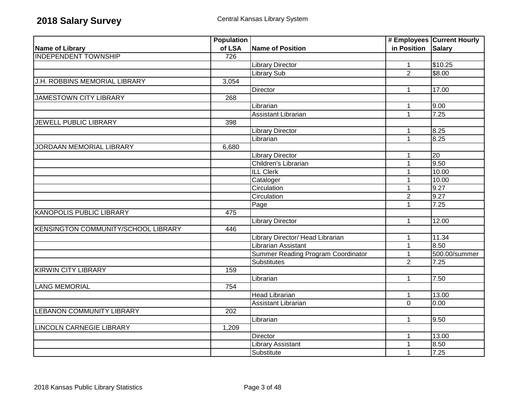|                                     | <b>Population</b> |                                           |                    | # Employees Current Hourly |
|-------------------------------------|-------------------|-------------------------------------------|--------------------|----------------------------|
| Name of Library                     | of LSA            | <b>Name of Position</b>                   | in Position Salary |                            |
| <b>INDEPENDENT TOWNSHIP</b>         | 726               |                                           |                    |                            |
|                                     |                   | Library Director                          | $\mathbf{1}$       | \$10.25                    |
|                                     |                   | Library Sub                               | $\overline{2}$     | \$8.00                     |
| J.H. ROBBINS MEMORIAL LIBRARY       | 3,054             |                                           |                    |                            |
|                                     |                   | Director                                  | $\mathbf{1}$       | 17.00                      |
| <b>JAMESTOWN CITY LIBRARY</b>       | 268               |                                           |                    |                            |
|                                     |                   | Librarian                                 | 1                  | 9.00                       |
|                                     |                   | <b>Assistant Librarian</b>                | $\mathbf{1}$       | 7.25                       |
| JEWELL PUBLIC LIBRARY               | 398               |                                           |                    |                            |
|                                     |                   | Library Director                          | 1                  | 8.25                       |
|                                     |                   | Librarian                                 | $\mathbf{1}$       | 8.25                       |
| JORDAAN MEMORIAL LIBRARY            | 6,680             |                                           |                    |                            |
|                                     |                   | <b>Library Director</b>                   |                    | 20                         |
|                                     |                   | Children's Librarian                      | $\mathbf{1}$       | 9.50                       |
|                                     |                   | <b>ILL Clerk</b>                          | $\mathbf{1}$       | 10.00                      |
|                                     |                   | Cataloger                                 | 1                  | 10.00                      |
|                                     |                   | Circulation                               | $\mathbf{1}$       | 9.27                       |
|                                     |                   | Circulation                               | $\overline{2}$     | 9.27                       |
|                                     |                   | Page                                      | $\mathbf{1}$       | 7.25                       |
| <b>KANOPOLIS PUBLIC LIBRARY</b>     | 475               |                                           |                    |                            |
|                                     |                   | <b>Library Director</b>                   | $\mathbf{1}$       | 12.00                      |
| KENSINGTON COMMUNITY/SCHOOL LIBRARY | 446               |                                           |                    |                            |
|                                     |                   | Library Director/ Head Librarian          | 1                  | 11.34                      |
|                                     |                   | Librarian Assistant                       | $\overline{1}$     | 8.50                       |
|                                     |                   | <b>Summer Reading Program Coordinator</b> | $\mathbf{1}$       | 500.00/summer              |
|                                     |                   | Substitutes                               | $\overline{2}$     | 7.25                       |
| <b>KIRWIN CITY LIBRARY</b>          | 159               |                                           |                    |                            |
|                                     |                   | Librarian                                 | $\mathbf{1}$       | 7.50                       |
| <b>LANG MEMORIAL</b>                | 754               |                                           |                    |                            |
|                                     |                   | <b>Head Librarian</b>                     | $\mathbf{1}$       | 13.00                      |
|                                     |                   | <b>Assistant Librarian</b>                | $\mathbf 0$        | 0.00                       |
| <b>LEBANON COMMUNITY LIBRARY</b>    | 202               |                                           |                    |                            |
|                                     |                   | Librarian                                 | $\mathbf{1}$       | 9.50                       |
| <b>LINCOLN CARNEGIE LIBRARY</b>     | 1,209             |                                           |                    |                            |
|                                     |                   | Director                                  | $\mathbf{1}$       | 13.00                      |
|                                     |                   | <b>Library Assistant</b>                  | $\mathbf{1}$       | 8.50                       |
|                                     |                   | Substitute                                | $\mathbf{1}$       | 7.25                       |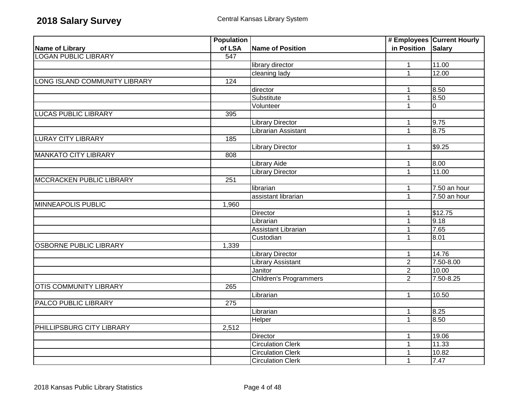|                                 | <b>Population</b> |                               |                    | # Employees Current Hourly |
|---------------------------------|-------------------|-------------------------------|--------------------|----------------------------|
| <b>Name of Library</b>          | of LSA            | Name of Position              | in Position Salary |                            |
| <b>LOGAN PUBLIC LIBRARY</b>     | 547               |                               |                    |                            |
|                                 |                   | library director              | $\mathbf{1}$       | 11.00                      |
|                                 |                   | cleaning lady                 | $\mathbf{1}$       | 12.00                      |
| LONG ISLAND COMMUNITY LIBRARY   | 124               |                               |                    |                            |
|                                 |                   | director                      | $\mathbf 1$        | 8.50                       |
|                                 |                   | Substitute                    | $\mathbf{1}$       | 8.50                       |
|                                 |                   | Volunteer                     | $\mathbf{1}$       | $\overline{0}$             |
| <b>LUCAS PUBLIC LIBRARY</b>     | 395               |                               |                    |                            |
|                                 |                   | <b>Library Director</b>       | $\mathbf{1}$       | 9.75                       |
|                                 |                   | Librarian Assistant           | $\mathbf{1}$       | 8.75                       |
| <b>LURAY CITY LIBRARY</b>       | 185               |                               |                    |                            |
|                                 |                   | <b>Library Director</b>       | $\mathbf{1}$       | \$9.25                     |
| <b>MANKATO CITY LIBRARY</b>     | 808               |                               |                    |                            |
|                                 |                   | <b>Library Aide</b>           | $\mathbf{1}$       | 8.00                       |
|                                 |                   | <b>Library Director</b>       | $\mathbf{1}$       | 11.00                      |
| <b>MCCRACKEN PUBLIC LIBRARY</b> | 251               |                               |                    |                            |
|                                 |                   | librarian                     | $\mathbf{1}$       | 7.50 an hour               |
|                                 |                   | assistant librarian           | $\mathbf{1}$       | 7.50 an hour               |
| <b>MINNEAPOLIS PUBLIC</b>       | 1,960             |                               |                    |                            |
|                                 |                   | Director                      | 1                  | \$12.75                    |
|                                 |                   | Librarian                     | $\overline{1}$     | 9.18                       |
|                                 |                   | <b>Assistant Librarian</b>    | $\mathbf{1}$       | 7.65                       |
|                                 |                   | Custodian                     | $\mathbf{1}$       | 8.01                       |
| <b>OSBORNE PUBLIC LIBRARY</b>   | 1,339             |                               |                    |                            |
|                                 |                   | <b>Library Director</b>       | 1                  | 14.76                      |
|                                 |                   | <b>Library Assistant</b>      | $\overline{2}$     | 7.50-8.00                  |
|                                 |                   | Janitor                       | $\overline{2}$     | 10.00                      |
|                                 |                   | <b>Children's Programmers</b> | $\overline{2}$     | 7.50-8.25                  |
| <b>OTIS COMMUNITY LIBRARY</b>   | 265               |                               |                    |                            |
|                                 |                   | Librarian                     | $\mathbf{1}$       | 10.50                      |
| PALCO PUBLIC LIBRARY            | 275               |                               |                    |                            |
|                                 |                   | Librarian                     | $\mathbf{1}$       | 8.25                       |
|                                 |                   | Helper                        | $\mathbf{1}$       | 8.50                       |
| PHILLIPSBURG CITY LIBRARY       | 2,512             |                               |                    |                            |
|                                 |                   | <b>Director</b>               | 1                  | 19.06                      |
|                                 |                   | <b>Circulation Clerk</b>      | $\mathbf{1}$       | 11.33                      |
|                                 |                   | <b>Circulation Clerk</b>      | $\mathbf{1}$       | 10.82                      |
|                                 |                   | <b>Circulation Clerk</b>      | $\mathbf{1}$       | 7.47                       |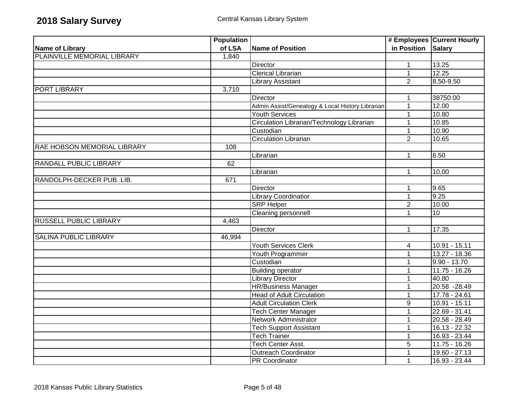|                               | <b>Population</b> |                                                  |                    | # Employees Current Hourly |
|-------------------------------|-------------------|--------------------------------------------------|--------------------|----------------------------|
| <b>Name of Library</b>        | of LSA            | <b>Name of Position</b>                          | in Position Salary |                            |
| PLAINVILLE MEMORIAL LIBRARY   | 1,840             |                                                  |                    |                            |
|                               |                   | <b>Director</b>                                  | $\mathbf{1}$       | 13.25                      |
|                               |                   | <b>Clerical Librarian</b>                        | $\mathbf{1}$       | 12.25                      |
|                               |                   | <b>Library Assistant</b>                         | $\overline{2}$     | 8.50-9.50                  |
| <b>PORT LIBRARY</b>           | 3,710             |                                                  |                    |                            |
|                               |                   | Director                                         | 1                  | 38750.00                   |
|                               |                   | Admin Assist/Genealogy & Local History Librarian | $\mathbf{1}$       | 12.00                      |
|                               |                   | Youth Services                                   | $\mathbf{1}$       | 10.80                      |
|                               |                   | Circulation Librarian/Technology Librarian       | $\mathbf{1}$       | 10.85                      |
|                               |                   | Custodian                                        | $\mathbf{1}$       | 10.90                      |
|                               |                   | <b>Circulation Librarian</b>                     | $\overline{2}$     | 10.65                      |
| RAE HOBSON MEMORIAL LIBRARY   | 108               |                                                  |                    |                            |
|                               |                   | Librarian                                        | 1                  | 8.50                       |
| RANDALL PUBLIC LIBRARY        | 62                |                                                  |                    |                            |
|                               |                   | Librarian                                        | $\mathbf{1}$       | 10.00                      |
| RANDOLPH-DECKER PUB. LIB.     | 671               |                                                  |                    |                            |
|                               |                   | <b>Director</b>                                  | 1                  | 9.65                       |
|                               |                   | <b>Library Coordinatior</b>                      | $\mathbf{1}$       | 9.25                       |
|                               |                   | <b>SRP Helper</b>                                | $\overline{2}$     | 10.00                      |
|                               |                   | <b>Cleaning personnell</b>                       | $\mathbf{1}$       | 10                         |
| <b>RUSSELL PUBLIC LIBRARY</b> | 4,463             |                                                  |                    |                            |
|                               |                   | Director                                         | $\mathbf{1}$       | 17.35                      |
| <b>SALINA PUBLIC LIBRARY</b>  | 46,994            |                                                  |                    |                            |
|                               |                   | <b>Youth Services Clerk</b>                      | 4                  | 10.91 - 15.11              |
|                               |                   | <b>Youth Programmer</b>                          | 1                  | $13.27 - 18.36$            |
|                               |                   | Custodian                                        | $\mathbf{1}$       | $9.90 - 13.70$             |
|                               |                   | <b>Building operator</b>                         | 1                  | $11.75 - 16.26$            |
|                               |                   | <b>Library Director</b>                          | 1                  | 40.80                      |
|                               |                   | <b>HR/Business Manager</b>                       | $\mathbf{1}$       | 20.58 - 28.49              |
|                               |                   | <b>Head of Adult Circulation</b>                 | $\mathbf{1}$       | $17.78 - 24.61$            |
|                               |                   | <b>Adult Circulation Clerk</b>                   | $\overline{9}$     | $10.91 - 15.11$            |
|                               |                   | <b>Tech Center Manager</b>                       | 1                  | $22.69 - 31.41$            |
|                               |                   | Network Administrator                            | 1                  | $20.58 - 28.49$            |
|                               |                   | <b>Tech Support Assistant</b>                    | 1                  | $16.13 - 22.32$            |
|                               |                   | <b>Tech Trainer</b>                              | $\mathbf{1}$       | 16.93 - 23.44              |
|                               |                   | <b>Tech Center Asst.</b>                         | $\overline{5}$     | $11.75 - 16.26$            |
|                               |                   | <b>Outreach Coordinator</b>                      | 1                  | 19.60 - 27.13              |
|                               |                   | <b>PR Coordinator</b>                            | $\mathbf{1}$       | $16.93 - 23.44$            |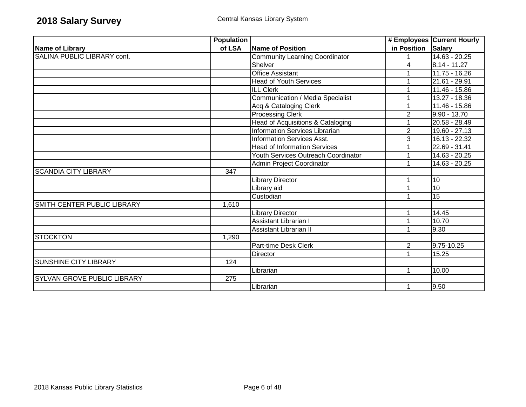|                                    | <b>Population</b> |                                       |                    | # Employees Current Hourly |
|------------------------------------|-------------------|---------------------------------------|--------------------|----------------------------|
| <b>Name of Library</b>             | of LSA            | Name of Position                      | in Position Salary |                            |
| SALINA PUBLIC LIBRARY cont.        |                   | <b>Community Learning Coordinator</b> |                    | $14.63 - 20.25$            |
|                                    |                   | Shelver                               | $\overline{4}$     | $8.14 - 11.27$             |
|                                    |                   | <b>Office Assistant</b>               |                    | $11.75 - 16.26$            |
|                                    |                   | <b>Head of Youth Services</b>         |                    | 21.61 - 29.91              |
|                                    |                   | <b>ILL Clerk</b>                      |                    | $11.46 - 15.86$            |
|                                    |                   | Communication / Media Specialist      |                    | 13.27 - 18.36              |
|                                    |                   | Acq & Cataloging Clerk                |                    | 11.46 - 15.86              |
|                                    |                   | <b>Processing Clerk</b>               | $\overline{2}$     | 9.90 - 13.70               |
|                                    |                   | Head of Acquisitions & Cataloging     |                    | 20.58 - 28.49              |
|                                    |                   | <b>Information Services Librarian</b> | $\overline{2}$     | $19.60 - 27.13$            |
|                                    |                   | <b>Information Services Asst.</b>     | 3                  | 16.13 - 22.32              |
|                                    |                   | <b>Head of Information Services</b>   |                    | 22.69 - 31.41              |
|                                    |                   | Youth Services Outreach Coordinator   | 1                  | 14.63 - 20.25              |
|                                    |                   | Admin Project Coordinator             |                    | 14.63 - 20.25              |
| <b>SCANDIA CITY LIBRARY</b>        | 347               |                                       |                    |                            |
|                                    |                   | Library Director                      |                    | 10                         |
|                                    |                   | Library aid                           |                    | 10                         |
|                                    |                   | Custodian                             |                    | 15                         |
| SMITH CENTER PUBLIC LIBRARY        | 1,610             |                                       |                    |                            |
|                                    |                   | Library Director                      | 1                  | 14.45                      |
|                                    |                   | <b>Assistant Librarian I</b>          |                    | 10.70                      |
|                                    |                   | <b>Assistant Librarian II</b>         | 1                  | 9.30                       |
| <b>STOCKTON</b>                    | 1,290             |                                       |                    |                            |
|                                    |                   | Part-time Desk Clerk                  | $\overline{2}$     | 9.75-10.25                 |
|                                    |                   | Director                              | 1                  | 15.25                      |
| <b>SUNSHINE CITY LIBRARY</b>       | 124               |                                       |                    |                            |
|                                    |                   | Librarian                             | $\mathbf{1}$       | 10.00                      |
| <b>SYLVAN GROVE PUBLIC LIBRARY</b> | $\overline{275}$  |                                       |                    |                            |
|                                    |                   | Librarian                             |                    | 9.50                       |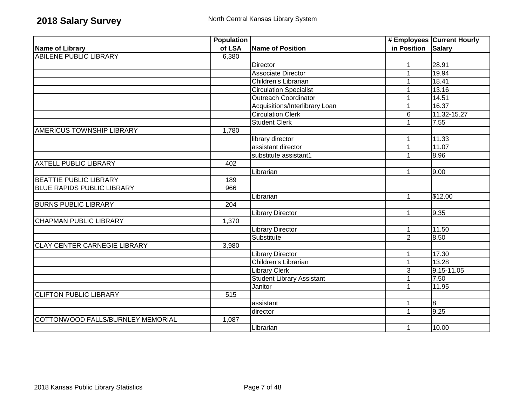|                                     | <b>Population</b> |                                  |                    | # Employees Current Hourly |
|-------------------------------------|-------------------|----------------------------------|--------------------|----------------------------|
| Name of Library                     | of LSA            | <b>Name of Position</b>          | in Position Salary |                            |
| <b>ABILENE PUBLIC LIBRARY</b>       | 6,380             |                                  |                    |                            |
|                                     |                   | <b>Director</b>                  | 1                  | 28.91                      |
|                                     |                   | <b>Associate Director</b>        |                    | 19.94                      |
|                                     |                   | Children's Librarian             | 1                  | 18.41                      |
|                                     |                   | <b>Circulation Specialist</b>    |                    | 13.16                      |
|                                     |                   | <b>Outreach Coordinator</b>      |                    | 14.51                      |
|                                     |                   | Acquisitions/Interlibrary Loan   |                    | 16.37                      |
|                                     |                   | <b>Circulation Clerk</b>         | $6\phantom{1}$     | 11.32-15.27                |
|                                     |                   | <b>Student Clerk</b>             |                    | 7.55                       |
| AMERICUS TOWNSHIP LIBRARY           | 1,780             |                                  |                    |                            |
|                                     |                   | library director                 | 1                  | 11.33                      |
|                                     |                   | assistant director               | 1                  | 11.07                      |
|                                     |                   | substitute assistant1            | 1                  | 8.96                       |
| <b>AXTELL PUBLIC LIBRARY</b>        | 402               |                                  |                    |                            |
|                                     |                   | Librarian                        | 1                  | 9.00                       |
| <b>BEATTIE PUBLIC LIBRARY</b>       | 189               |                                  |                    |                            |
| <b>BLUE RAPIDS PUBLIC LIBRARY</b>   | 966               |                                  |                    |                            |
|                                     |                   | Librarian                        | 1                  | \$12.00                    |
| <b>BURNS PUBLIC LIBRARY</b>         | 204               |                                  |                    |                            |
|                                     |                   | <b>Library Director</b>          | $\mathbf{1}$       | 9.35                       |
| <b>CHAPMAN PUBLIC LIBRARY</b>       | 1,370             |                                  |                    |                            |
|                                     |                   | <b>Library Director</b>          | $\mathbf{1}$       | 11.50                      |
|                                     |                   | Substitute                       | $\overline{2}$     | 8.50                       |
| <b>CLAY CENTER CARNEGIE LIBRARY</b> | 3,980             |                                  |                    |                            |
|                                     |                   | <b>Library Director</b>          | 1                  | 17.30                      |
|                                     |                   | Children's Librarian             | $\mathbf{1}$       | 13.28                      |
|                                     |                   | <b>Library Clerk</b>             | 3                  | 9.15-11.05                 |
|                                     |                   | <b>Student Library Assistant</b> |                    | 7.50                       |
|                                     |                   | Janitor                          | 1                  | 11.95                      |
| <b>CLIFTON PUBLIC LIBRARY</b>       | $\overline{515}$  |                                  |                    |                            |
|                                     |                   | assistant                        | 1                  | $\overline{8}$             |
|                                     |                   | director                         | 1                  | 9.25                       |
| COTTONWOOD FALLS/BURNLEY MEMORIAL   | 1,087             |                                  |                    |                            |
|                                     |                   | Librarian                        | 1                  | 10.00                      |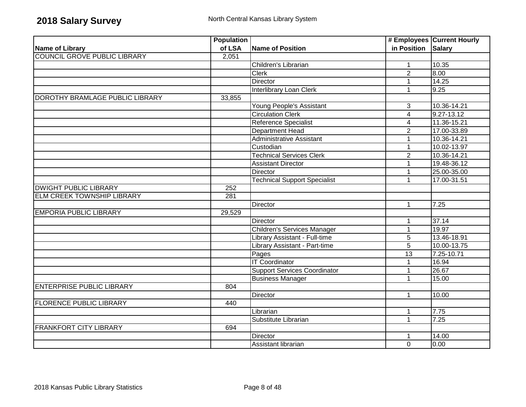|                                     | <b>Population</b> |                                     |                         | # Employees Current Hourly |
|-------------------------------------|-------------------|-------------------------------------|-------------------------|----------------------------|
| Name of Library                     | of LSA            | Name of Position                    | in Position Salary      |                            |
| <b>COUNCIL GROVE PUBLIC LIBRARY</b> | 2,051             |                                     |                         |                            |
|                                     |                   | Children's Librarian                | $\mathbf{1}$            | 10.35                      |
|                                     |                   | <b>Clerk</b>                        | $\overline{2}$          | 8.00                       |
|                                     |                   | Director                            | 1                       | 14.25                      |
|                                     |                   | <b>Interlibrary Loan Clerk</b>      | $\mathbf{1}$            | 9.25                       |
| DOROTHY BRAMLAGE PUBLIC LIBRARY     | 33,855            |                                     |                         |                            |
|                                     |                   | Young People's Assistant            | 3                       | 10.36-14.21                |
|                                     |                   | <b>Circulation Clerk</b>            | $\overline{4}$          | $9.27 - 13.12$             |
|                                     |                   | Reference Specialist                | $\overline{\mathbf{4}}$ | 11.36-15.21                |
|                                     |                   | <b>Department Head</b>              | $\overline{2}$          | 17.00-33.89                |
|                                     |                   | Administrative Assistant            | $\mathbf 1$             | 10.36-14.21                |
|                                     |                   | Custodian                           | 1                       | 10.02-13.97                |
|                                     |                   | <b>Technical Services Clerk</b>     | $\overline{2}$          | 10.36-14.21                |
|                                     |                   | <b>Assistant Director</b>           |                         | 19.48-36.12                |
|                                     |                   | Director                            | 1                       | 25.00-35.00                |
|                                     |                   | <b>Technical Support Specialist</b> | 1                       | 17.00-31.51                |
| <b>DWIGHT PUBLIC LIBRARY</b>        | 252               |                                     |                         |                            |
| <b>ELM CREEK TOWNSHIP LIBRARY</b>   | 281               |                                     |                         |                            |
|                                     |                   | Director                            | $\mathbf{1}$            | 7.25                       |
| <b>EMPORIA PUBLIC LIBRARY</b>       | 29,529            |                                     |                         |                            |
|                                     |                   | <b>Director</b>                     | $\mathbf 1$             | 37.14                      |
|                                     |                   | <b>Children's Services Manager</b>  | 1                       | 19.97                      |
|                                     |                   | Library Assistant - Full-time       | $\overline{5}$          | 13.46-18.91                |
|                                     |                   | Library Assistant - Part-time       | $\overline{5}$          | 10.00-13.75                |
|                                     |                   | Pages                               | 13                      | 7.25-10.71                 |
|                                     |                   | <b>IT Coordinator</b>               | 1                       | 16.94                      |
|                                     |                   | <b>Support Services Coordinator</b> | $\overline{1}$          | 26.67                      |
|                                     |                   | <b>Business Manager</b>             | 1                       | 15.00                      |
| <b>ENTERPRISE PUBLIC LIBRARY</b>    | 804               |                                     |                         |                            |
|                                     |                   | <b>Director</b>                     | 1                       | 10.00                      |
| <b>FLORENCE PUBLIC LIBRARY</b>      | 440               |                                     |                         |                            |
|                                     |                   | Librarian                           | 1                       | 7.75                       |
|                                     |                   | Substitute Librarian                | $\mathbf{1}$            | 7.25                       |
| <b>FRANKFORT CITY LIBRARY</b>       | 694               |                                     |                         |                            |
|                                     |                   | <b>Director</b>                     | 1                       | 14.00                      |
|                                     |                   | Assistant librarian                 | $\Omega$                | 0.00                       |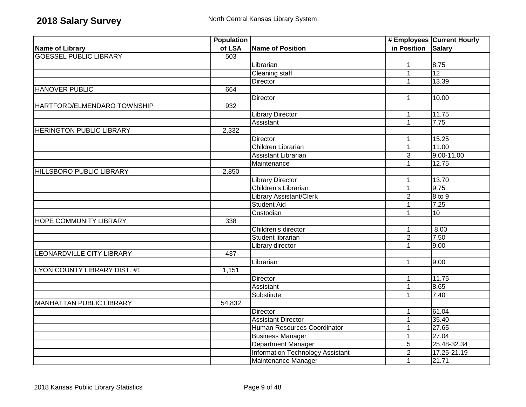|                                     | <b>Population</b> |                                  |                    | # Employees Current Hourly |
|-------------------------------------|-------------------|----------------------------------|--------------------|----------------------------|
| <b>Name of Library</b>              | of LSA            | <b>Name of Position</b>          | in Position Salary |                            |
| <b>GOESSEL PUBLIC LIBRARY</b>       | 503               |                                  |                    |                            |
|                                     |                   | Librarian                        | $\mathbf{1}$       | 8.75                       |
|                                     |                   | <b>Cleaning staff</b>            | $\mathbf 1$        | 12                         |
|                                     |                   | Director                         | $\mathbf 1$        | 13.39                      |
| <b>HANOVER PUBLIC</b>               | 664               |                                  |                    |                            |
|                                     |                   | Director                         | 1                  | 10.00                      |
| HARTFORD/ELMENDARO TOWNSHIP         | 932               |                                  |                    |                            |
|                                     |                   | <b>Library Director</b>          | 1                  | 11.75                      |
|                                     |                   | Assistant                        | $\mathbf{1}$       | 7.75                       |
| <b>HERINGTON PUBLIC LIBRARY</b>     | 2,332             |                                  |                    |                            |
|                                     |                   | Director                         | 1                  | 15.25                      |
|                                     |                   | Children Librarian               | $\mathbf{1}$       | 11.00                      |
|                                     |                   | Assistant Librarian              | $\overline{3}$     | $9.00 - 11.00$             |
|                                     |                   | Maintenance                      | 1                  | 12.75                      |
| <b>HILLSBORO PUBLIC LIBRARY</b>     | 2,850             |                                  |                    |                            |
|                                     |                   | <b>Library Director</b>          | $\mathbf{1}$       | 13.70                      |
|                                     |                   | Children's Librarian             | $\mathbf{1}$       | 9.75                       |
|                                     |                   | Library Assistant/Clerk          | $\overline{2}$     | 8 to 9                     |
|                                     |                   | <b>Student Aid</b>               | 1                  | 7.25                       |
|                                     |                   | Custodian                        | 1                  | 10                         |
| <b>HOPE COMMUNITY LIBRARY</b>       | 338               |                                  |                    |                            |
|                                     |                   | Children's director              | 1                  | 8.00                       |
|                                     |                   | Student librarian                | $\overline{2}$     | 7.50                       |
|                                     |                   | Library director                 | $\mathbf{1}$       | 9.00                       |
| LEONARDVILLE CITY LIBRARY           | 437               |                                  |                    |                            |
|                                     |                   | Librarian                        | $\mathbf{1}$       | 9.00                       |
| <b>LYON COUNTY LIBRARY DIST. #1</b> | 1,151             |                                  |                    |                            |
|                                     |                   | <b>Director</b>                  | $\mathbf 1$        | 11.75                      |
|                                     |                   | Assistant                        | 1                  | 8.65                       |
|                                     |                   | Substitute                       | $\mathbf{1}$       | 7.40                       |
| <b>MANHATTAN PUBLIC LIBRARY</b>     | 54,832            |                                  |                    |                            |
|                                     |                   | <b>Director</b>                  | $\mathbf 1$        | 61.04                      |
|                                     |                   | <b>Assistant Director</b>        | $\mathbf{1}$       | 35.40                      |
|                                     |                   | Human Resources Coordinator      | 1                  | 27.65                      |
|                                     |                   | <b>Business Manager</b>          | 1                  | 27.04                      |
|                                     |                   | Department Manager               | $\overline{5}$     | 25.48-32.34                |
|                                     |                   | Information Technology Assistant | $\overline{2}$     | 17.25-21.19                |
|                                     |                   | Maintenance Manager              | 1                  | 21.71                      |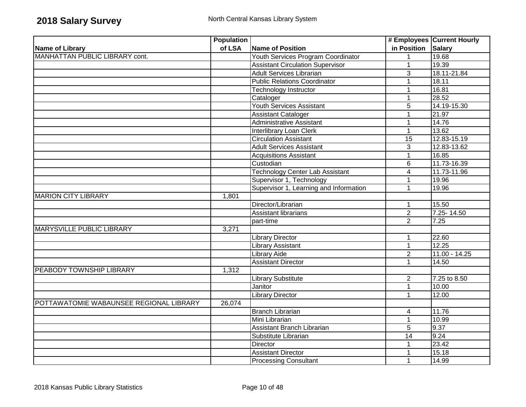|                                         | <b>Population</b> |                                         |                         | # Employees Current Hourly |
|-----------------------------------------|-------------------|-----------------------------------------|-------------------------|----------------------------|
| Name of Library                         | of LSA            | Name of Position                        | in Position Salary      |                            |
| MANHATTAN PUBLIC LIBRARY cont.          |                   | Youth Services Program Coordinator      | $\mathbf{1}$            | 19.68                      |
|                                         |                   | <b>Assistant Circulation Supervisor</b> | $\mathbf{1}$            | 19.39                      |
|                                         |                   | <b>Adult Services Librarian</b>         | 3                       | 18.11-21.84                |
|                                         |                   | <b>Public Relations Coordinator</b>     | $\mathbf{1}$            | 18.11                      |
|                                         |                   | Technology Instructor                   | $\mathbf 1$             | 16.81                      |
|                                         |                   | Cataloger                               | 1                       | 28.52                      |
|                                         |                   | <b>Youth Services Assistant</b>         | 5                       | 14.19-15.30                |
|                                         |                   | <b>Assistant Cataloger</b>              | 1                       | 21.97                      |
|                                         |                   | Administrative Assistant                | $\mathbf{1}$            | 14.76                      |
|                                         |                   | Interlibrary Loan Clerk                 | $\mathbf{1}$            | 13.62                      |
|                                         |                   | <b>Circulation Assistant</b>            | 15                      | 12.83-15.19                |
|                                         |                   | <b>Adult Services Assistant</b>         | 3                       | $\overline{12.83}$ -13.62  |
|                                         |                   | <b>Acquisitions Assistant</b>           | $\mathbf{1}$            | 16.85                      |
|                                         |                   | Custodian                               | 6                       | 11.73-16.39                |
|                                         |                   | <b>Technology Center Lab Assistant</b>  | $\overline{\mathbf{4}}$ | 11.73-11.96                |
|                                         |                   | Supervisor 1, Technology                | 1                       | 19.96                      |
|                                         |                   | Supervisor 1, Learning and Information  | $\mathbf{1}$            | 19.96                      |
| <b>MARION CITY LIBRARY</b>              | 1,801             |                                         |                         |                            |
|                                         |                   | Director/Librarian                      | 1                       | 15.50                      |
|                                         |                   | <b>Assistant librarians</b>             | $\overline{2}$          | $7.25 - 14.50$             |
|                                         |                   | part-time                               | $\overline{2}$          | 7.25                       |
| MARYSVILLE PUBLIC LIBRARY               | 3,271             |                                         |                         |                            |
|                                         |                   | <b>Library Director</b>                 | 1                       | 22.60                      |
|                                         |                   | <b>Library Assistant</b>                | $\mathbf{1}$            | 12.25                      |
|                                         |                   | <b>Library Aide</b>                     | $\overline{2}$          | $11.00 - 14.25$            |
|                                         |                   | <b>Assistant Director</b>               | $\mathbf{1}$            | 14.50                      |
| PEABODY TOWNSHIP LIBRARY                | 1,312             |                                         |                         |                            |
|                                         |                   | <b>Library Substitute</b>               | 2                       | 7.25 to 8.50               |
|                                         |                   | Janitor                                 | $\mathbf{1}$            | 10.00                      |
|                                         |                   | <b>Library Director</b>                 | $\overline{1}$          | 12.00                      |
| POTTAWATOMIE WABAUNSEE REGIONAL LIBRARY | 26,074            |                                         |                         |                            |
|                                         |                   | <b>Branch Librarian</b>                 | $\overline{4}$          | 11.76                      |
|                                         |                   | Mini Librarian                          | $\mathbf{1}$            | 10.99                      |
|                                         |                   | Assistant Branch Librarian              | 5                       | 9.37                       |
|                                         |                   | Substitute Librarian                    | 14                      | 9.24                       |
|                                         |                   | <b>Director</b>                         | 1                       | 23.42                      |
|                                         |                   | <b>Assistant Director</b>               |                         | 15.18                      |
|                                         |                   | <b>Processing Consultant</b>            | $\mathbf 1$             | 14.99                      |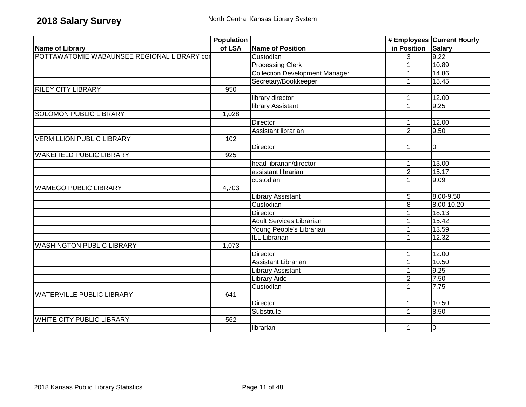|                                             | <b>Population</b> |                                       |                | # Employees Current Hourly |
|---------------------------------------------|-------------------|---------------------------------------|----------------|----------------------------|
| Name of Library                             | of LSA            | <b>Name of Position</b>               | in Position    | Salary                     |
| POTTAWATOMIE WABAUNSEE REGIONAL LIBRARY cor |                   | Custodian                             | 3              | 9.22                       |
|                                             |                   | <b>Processing Clerk</b>               |                | 10.89                      |
|                                             |                   | <b>Collection Development Manager</b> | -1             | 14.86                      |
|                                             |                   | Secretary/Bookkeeper                  | $\mathbf{1}$   | 15.45                      |
| <b>RILEY CITY LIBRARY</b>                   | 950               |                                       |                |                            |
|                                             |                   | library director                      | 1              | 12.00                      |
|                                             |                   | library Assistant                     | 1              | 9.25                       |
| <b>SOLOMON PUBLIC LIBRARY</b>               | 1,028             |                                       |                |                            |
|                                             |                   | Director                              |                | 12.00                      |
|                                             |                   | Assistant librarian                   | $\overline{2}$ | 9.50                       |
| <b>VERMILLION PUBLIC LIBRARY</b>            | 102               |                                       |                |                            |
|                                             |                   | Director                              | 1              | 0                          |
| <b>WAKEFIELD PUBLIC LIBRARY</b>             | 925               |                                       |                |                            |
|                                             |                   | head librarian/director               |                | 13.00                      |
|                                             |                   | assistant librarian                   | $\overline{2}$ | 15.17                      |
|                                             |                   | custodian                             | 1              | 9.09                       |
| <b>WAMEGO PUBLIC LIBRARY</b>                | 4,703             |                                       |                |                            |
|                                             |                   | <b>Library Assistant</b>              | 5              | 8.00-9.50                  |
|                                             |                   | Custodian                             | $\overline{8}$ | 8.00-10.20                 |
|                                             |                   | Director                              |                | 18.13                      |
|                                             |                   | <b>Adult Services Librarian</b>       |                | 15.42                      |
|                                             |                   | Young People's Librarian              | 1              | 13.59                      |
|                                             |                   | <b>ILL Librarian</b>                  | 1              | 12.32                      |
| <b>WASHINGTON PUBLIC LIBRARY</b>            | 1,073             |                                       |                |                            |
|                                             |                   | <b>Director</b>                       | $\mathbf 1$    | 12.00                      |
|                                             |                   | <b>Assistant Librarian</b>            | $\overline{1}$ | 10.50                      |
|                                             |                   | <b>Library Assistant</b>              | $\mathbf 1$    | 9.25                       |
|                                             |                   | <b>Library Aide</b>                   | $\sqrt{2}$     | 7.50                       |
|                                             |                   | Custodian                             | 1              | 7.75                       |
| <b>WATERVILLE PUBLIC LIBRARY</b>            | 641               |                                       |                |                            |
|                                             |                   | <b>Director</b>                       | -1             | 10.50                      |
|                                             |                   | Substitute                            | 1              | 8.50                       |
| <b>WHITE CITY PUBLIC LIBRARY</b>            | 562               |                                       |                |                            |
|                                             |                   | librarian                             | 1              | $\overline{0}$             |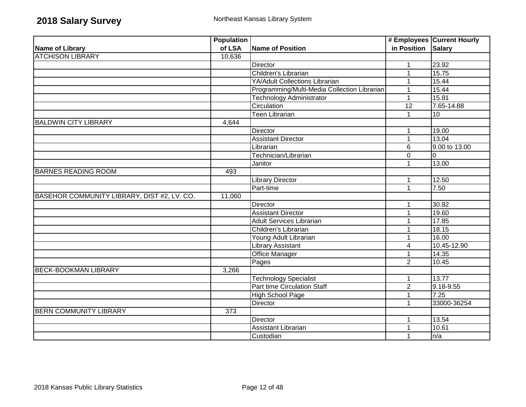|                                             | <b>Population</b> |                                              |                    | # Employees Current Hourly |
|---------------------------------------------|-------------------|----------------------------------------------|--------------------|----------------------------|
| Name of Library                             | of LSA            | Name of Position                             | in Position Salary |                            |
| <b>ATCHISON LIBRARY</b>                     | 10,636            |                                              |                    |                            |
|                                             |                   | Director                                     | 1                  | 23.92                      |
|                                             |                   | Children's Librarian                         | $\mathbf{1}$       | 15.75                      |
|                                             |                   | <b>YA/Adult Collections Librarian</b>        | 1                  | 15.44                      |
|                                             |                   | Programming/Multi-Media Collection Librarian | 1                  | 15.44                      |
|                                             |                   | <b>Technology Administrator</b>              | $\mathbf{1}$       | 15.81                      |
|                                             |                   | Circulation                                  | $\overline{12}$    | 7.65-14.88                 |
|                                             |                   | Teen Librarian                               | $\mathbf{1}$       | 10                         |
| <b>BALDWIN CITY LIBRARY</b>                 | 4,644             |                                              |                    |                            |
|                                             |                   | <b>Director</b>                              | 1                  | 19.00                      |
|                                             |                   | <b>Assistant Director</b>                    | $\mathbf{1}$       | 13.04                      |
|                                             |                   | Librarian                                    | $\,6$              | 9.00 to 13.00              |
|                                             |                   | Technician/Librarian                         | $\mathbf 0$        | 10                         |
|                                             |                   | Janitor                                      | 1                  | 13.00                      |
| <b>BARNES READING ROOM</b>                  | 493               |                                              |                    |                            |
|                                             |                   | <b>Library Director</b>                      | $\mathbf 1$        | 12.50                      |
|                                             |                   | Part-time                                    | $\mathbf{1}$       | 7.50                       |
| BASEHOR COMMUNITY LIBRARY, DIST #2, LV. CO. | 11,060            |                                              |                    |                            |
|                                             |                   | Director                                     | 1                  | 30.82                      |
|                                             |                   | <b>Assistant Director</b>                    | $\mathbf 1$        | 19.60                      |
|                                             |                   | <b>Adult Services Librarian</b>              | 1                  | 17.85                      |
|                                             |                   | Children's Librarian                         | 1                  | 18.15                      |
|                                             |                   | Young Adult Librarian                        | $\mathbf 1$        | 16.00                      |
|                                             |                   | <b>Library Assistant</b>                     | 4                  | 10.45-12.90                |
|                                             |                   | Office Manager                               | 1                  | 14.35                      |
|                                             |                   | Pages                                        | $\overline{2}$     | 10.45                      |
| <b>BECK-BOOKMAN LIBRARY</b>                 | 3,266             |                                              |                    |                            |
|                                             |                   | <b>Technology Specialist</b>                 | $\mathbf 1$        | 13.77                      |
|                                             |                   | <b>Part time Circulation Staff</b>           | $\overline{2}$     | $9.18 - 9.55$              |
|                                             |                   | <b>High School Page</b>                      | $\mathbf 1$        | 7.25                       |
|                                             |                   | Director                                     | 1                  | 33000-36254                |
| <b>BERN COMMUNITY LIBRARY</b>               | 373               |                                              |                    |                            |
|                                             |                   | Director                                     | $\mathbf 1$        | 13.54                      |
|                                             |                   | Assistant Librarian                          | 1                  | 10.61                      |
|                                             |                   | Custodian                                    | 1                  | n/a                        |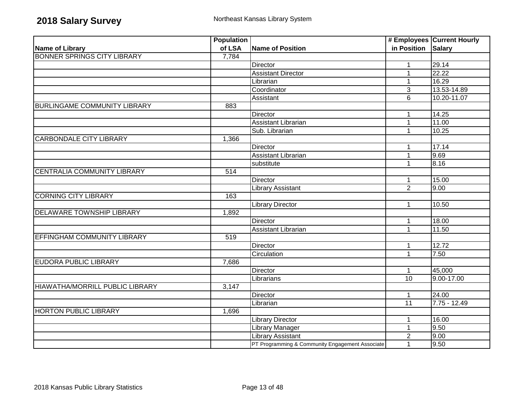|                                     | <b>Population</b> |                                                 |                 | # Employees Current Hourly |
|-------------------------------------|-------------------|-------------------------------------------------|-----------------|----------------------------|
| Name of Library                     | of LSA            | Name of Position                                | in Position     | <b>Salary</b>              |
| <b>BONNER SPRINGS CITY LIBRARY</b>  | 7,784             |                                                 |                 |                            |
|                                     |                   | <b>Director</b>                                 | 1               | 29.14                      |
|                                     |                   | <b>Assistant Director</b>                       | 1               | 22.22                      |
|                                     |                   | Librarian                                       | 1               | 16.29                      |
|                                     |                   | Coordinator                                     | $\overline{3}$  | 13.53-14.89                |
|                                     |                   | Assistant                                       | 6               | 10.20-11.07                |
| <b>BURLINGAME COMMUNITY LIBRARY</b> | 883               |                                                 |                 |                            |
|                                     |                   | Director                                        | $\mathbf{1}$    | 14.25                      |
|                                     |                   | Assistant Librarian                             | 1               | 11.00                      |
|                                     |                   | Sub. Librarian                                  | $\mathbf{1}$    | 10.25                      |
| <b>CARBONDALE CITY LIBRARY</b>      | 1,366             |                                                 |                 |                            |
|                                     |                   | Director                                        | $\mathbf{1}$    | 17.14                      |
|                                     |                   | Assistant Librarian                             | $\mathbf{1}$    | 9.69                       |
|                                     |                   | substitute                                      | $\mathbf 1$     | 8.16                       |
| <b>CENTRALIA COMMUNITY LIBRARY</b>  | 514               |                                                 |                 |                            |
|                                     |                   | <b>Director</b>                                 | $\mathbf{1}$    | 15.00                      |
|                                     |                   | <b>Library Assistant</b>                        | $\overline{2}$  | 9.00                       |
| <b>CORNING CITY LIBRARY</b>         | 163               |                                                 |                 |                            |
|                                     |                   | <b>Library Director</b>                         | $\mathbf{1}$    | 10.50                      |
| DELAWARE TOWNSHIP LIBRARY           | 1,892             |                                                 |                 |                            |
|                                     |                   | Director                                        | $\mathbf 1$     | 18.00                      |
|                                     |                   | Assistant Librarian                             | $\mathbf{1}$    | 11.50                      |
| EFFINGHAM COMMUNITY LIBRARY         | 519               |                                                 |                 |                            |
|                                     |                   | <b>Director</b>                                 | $\mathbf 1$     | 12.72                      |
|                                     |                   | Circulation                                     | $\mathbf{1}$    | 7.50                       |
| <b>EUDORA PUBLIC LIBRARY</b>        | 7,686             |                                                 |                 |                            |
|                                     |                   | <b>Director</b>                                 | $\mathbf 1$     | 45,000                     |
|                                     |                   | Librarians                                      | $\overline{10}$ | 9.00-17.00                 |
| HIAWATHA/MORRILL PUBLIC LIBRARY     | 3,147             |                                                 |                 |                            |
|                                     |                   | Director                                        | $\mathbf{1}$    | 24.00                      |
|                                     |                   | Librarian                                       | 11              | $7.75 - 12.49$             |
| <b>HORTON PUBLIC LIBRARY</b>        | 1,696             |                                                 |                 |                            |
|                                     |                   | <b>Library Director</b>                         | $\mathbf{1}$    | 16.00                      |
|                                     |                   | <b>Library Manager</b>                          | $\mathbf{1}$    | 9.50                       |
|                                     |                   | <b>Library Assistant</b>                        | $\overline{2}$  | 9.00                       |
|                                     |                   | PT Programming & Community Engagement Associate | $\mathbf{1}$    | 9.50                       |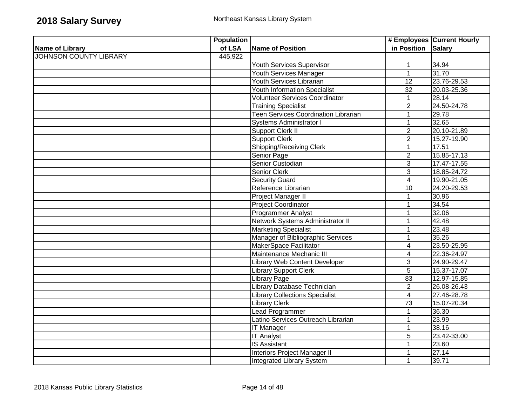|                               | <b>Population</b> |                                             |                    | # Employees Current Hourly |
|-------------------------------|-------------------|---------------------------------------------|--------------------|----------------------------|
| <b>Name of Library</b>        | of LSA            | Name of Position                            | in Position Salary |                            |
| <b>JOHNSON COUNTY LIBRARY</b> | 445,922           |                                             |                    |                            |
|                               |                   | Youth Services Supervisor                   | $\mathbf{1}$       | 34.94                      |
|                               |                   | <b>Youth Services Manager</b>               | $\mathbf 1$        | 31.70                      |
|                               |                   | <b>Youth Services Librarian</b>             | 12                 | 23.76-29.53                |
|                               |                   | <b>Youth Information Specialist</b>         | $\overline{32}$    | 20.03-25.36                |
|                               |                   | Volunteer Services Coordinator              | $\mathbf 1$        | 28.14                      |
|                               |                   | <b>Training Specialist</b>                  | $\overline{2}$     | 24.50-24.78                |
|                               |                   | <b>Teen Services Coordination Librarian</b> | $\mathbf{1}$       | 29.78                      |
|                               |                   | <b>Systems Administrator I</b>              | $\mathbf{1}$       | 32.65                      |
|                               |                   | Support Clerk II                            | $\overline{2}$     | 20.10-21.89                |
|                               |                   | <b>Support Clerk</b>                        | $\overline{2}$     | 15.27-19.90                |
|                               |                   | <b>Shipping/Receiving Clerk</b>             | $\mathbf 1$        | 17.51                      |
|                               |                   | Senior Page                                 | $\overline{2}$     | 15.85-17.13                |
|                               |                   | Senior Custodian                            | $\overline{3}$     | 17.47-17.55                |
|                               |                   | Senior Clerk                                | 3                  | 18.85-24.72                |
|                               |                   | <b>Security Guard</b>                       | $\overline{4}$     | 19.90-21.05                |
|                               |                   | Reference Librarian                         | 10                 | 24.20-29.53                |
|                               |                   | Project Manager II                          | 1                  | 30.96                      |
|                               |                   | <b>Project Coordinator</b>                  | 1                  | 34.54                      |
|                               |                   | <b>Programmer Analyst</b>                   | 1                  | 32.06                      |
|                               |                   | Network Systems Administrator II            |                    | 42.48                      |
|                               |                   | <b>Marketing Specialist</b>                 | 1                  | 23.48                      |
|                               |                   | Manager of Bibliographic Services           | $\mathbf 1$        | 35.26                      |
|                               |                   | MakerSpace Facilitator                      | $\overline{4}$     | 23.50-25.95                |
|                               |                   | Maintenance Mechanic III                    | 4                  | 22.36-24.97                |
|                               |                   | <b>Library Web Content Developer</b>        | $\overline{3}$     | 24.90-29.47                |
|                               |                   | <b>Library Support Clerk</b>                | $\overline{5}$     | 15.37-17.07                |
|                               |                   | <b>Library Page</b>                         | 83                 | 12.97-15.85                |
|                               |                   | Library Database Technician                 | $\overline{2}$     | 26.08-26.43                |
|                               |                   | <b>Library Collections Specialist</b>       | $\overline{4}$     | 27.46-28.78                |
|                               |                   | <b>Library Clerk</b>                        | $\overline{73}$    | 15.07-20.34                |
|                               |                   | <b>Lead Programmer</b>                      | 1                  | 36.30                      |
|                               |                   | Latino Services Outreach Librarian          | $\mathbf 1$        | 23.99                      |
|                               |                   | <b>IT Manager</b>                           | 1                  | 38.16                      |
|                               |                   | <b>IT Analyst</b>                           | 5                  | 23.42-33.00                |
|                               |                   | <b>IS Assistant</b>                         | 1                  | 23.60                      |
|                               |                   | Interiors Project Manager II                |                    | 27.14                      |
|                               |                   | <b>Integrated Library System</b>            | $\mathbf 1$        | 39.71                      |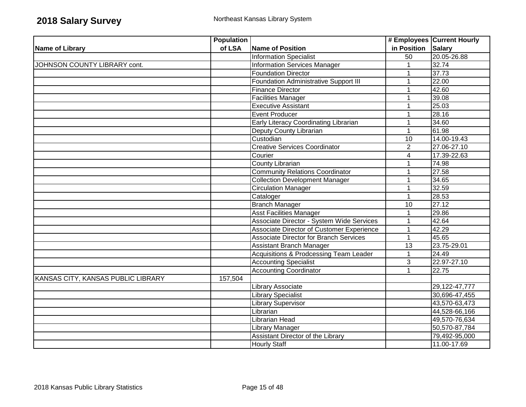|                                    | <b>Population</b> |                                               |                 | # Employees Current Hourly |
|------------------------------------|-------------------|-----------------------------------------------|-----------------|----------------------------|
| <b>Name of Library</b>             | of LSA            | <b>Name of Position</b>                       | in Position     | <b>Salary</b>              |
|                                    |                   | <b>Information Specialist</b>                 | $\overline{50}$ | 20.05-26.88                |
| JOHNSON COUNTY LIBRARY cont.       |                   | Information Services Manager                  | $\mathbf{1}$    | 32.74                      |
|                                    |                   | <b>Foundation Director</b>                    |                 | 37.73                      |
|                                    |                   | <b>Foundation Administrative Support III</b>  | 1               | 22.00                      |
|                                    |                   | <b>Finance Director</b>                       | 1               | 42.60                      |
|                                    |                   | <b>Facilities Manager</b>                     |                 | 39.08                      |
|                                    |                   | <b>Executive Assistant</b>                    | 1               | 25.03                      |
|                                    |                   | <b>Event Producer</b>                         | 1               | 28.16                      |
|                                    |                   | Early Literacy Coordinating Librarian         | 1               | 34.60                      |
|                                    |                   | Deputy County Librarian                       | $\mathbf{1}$    | 61.98                      |
|                                    |                   | Custodian                                     | 10              | 14.00-19.43                |
|                                    |                   | <b>Creative Services Coordinator</b>          | $\overline{2}$  | 27.06-27.10                |
|                                    |                   | Courier                                       | 4               | 17.39-22.63                |
|                                    |                   | County Librarian                              | 1               | 74.98                      |
|                                    |                   | <b>Community Relations Coordinator</b>        |                 | 27.58                      |
|                                    |                   | <b>Collection Development Manager</b>         | 1               | 34.65                      |
|                                    |                   | Circulation Manager                           | 1               | 32.59                      |
|                                    |                   | Cataloger                                     | 1               | 28.53                      |
|                                    |                   | <b>Branch Manager</b>                         | 10              | 27.12                      |
|                                    |                   | <b>Asst Facilities Manager</b>                | $\mathbf 1$     | 29.86                      |
|                                    |                   | Associate Director - System Wide Services     | 1               | 42.64                      |
|                                    |                   | Associate Director of Customer Experience     | 1               | 42.29                      |
|                                    |                   | <b>Associate Director for Branch Services</b> | $\mathbf 1$     | 45.65                      |
|                                    |                   | <b>Assistant Branch Manager</b>               | 13              | 23.75-29.01                |
|                                    |                   | Acquisitions & Prodcessing Team Leader        | $\mathbf 1$     | 24.49                      |
|                                    |                   | <b>Accounting Specialist</b>                  | 3               | 22.97-27.10                |
|                                    |                   | <b>Accounting Coordinator</b>                 | 1               | 22.75                      |
| KANSAS CITY, KANSAS PUBLIC LIBRARY | 157,504           |                                               |                 |                            |
|                                    |                   | Library Associate                             |                 | 29, 122-47, 777            |
|                                    |                   | <b>Library Specialist</b>                     |                 | 30,696-47,455              |
|                                    |                   | <b>Library Supervisor</b>                     |                 | 43,570-63,473              |
|                                    |                   | Librarian                                     |                 | 44,528-66,166              |
|                                    |                   | Librarian Head                                |                 | 49,570-76,634              |
|                                    |                   | Library Manager                               |                 | 50,570-87,784              |
|                                    |                   | Assistant Director of the Library             |                 | 79,492-95,000              |
|                                    |                   | <b>Hourly Staff</b>                           |                 | 11.00-17.69                |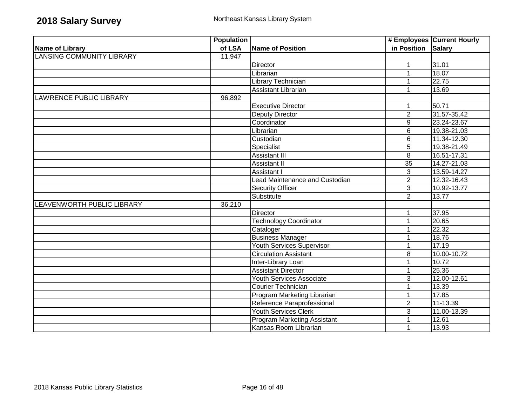|                                  | <b>Population</b> |                                    |                    | # Employees Current Hourly |
|----------------------------------|-------------------|------------------------------------|--------------------|----------------------------|
| Name of Library                  | of LSA            | <b>Name of Position</b>            | in Position Salary |                            |
| <b>LANSING COMMUNITY LIBRARY</b> | 11,947            |                                    |                    |                            |
|                                  |                   | <b>Director</b>                    | 1                  | 31.01                      |
|                                  |                   | Librarian                          | 1                  | 18.07                      |
|                                  |                   | Library Technician                 |                    | 22.75                      |
|                                  |                   | <b>Assistant Librarian</b>         | 1                  | 13.69                      |
| LAWRENCE PUBLIC LIBRARY          | 96,892            |                                    |                    |                            |
|                                  |                   | <b>Executive Director</b>          |                    | 50.71                      |
|                                  |                   | <b>Deputy Director</b>             | $\overline{2}$     | 31.57-35.42                |
|                                  |                   | Coordinator                        | $9\,$              | 23.24-23.67                |
|                                  |                   | Librarian                          | $6\phantom{1}$     | 19.38-21.03                |
|                                  |                   | Custodian                          | $6\phantom{1}6$    | 11.34-12.30                |
|                                  |                   | Specialist                         | $\overline{5}$     | 19.38-21.49                |
|                                  |                   | <b>Assistant III</b>               | 8                  | 16.51-17.31                |
|                                  |                   | Assistant II                       | 35                 | 14.27-21.03                |
|                                  |                   | Assistant I                        | 3                  | 13.59-14.27                |
|                                  |                   | Lead Maintenance and Custodian     | $\overline{2}$     | 12.32-16.43                |
|                                  |                   | <b>Security Officer</b>            | $\mathbf{3}$       | 10.92-13.77                |
|                                  |                   | Substitute                         | $\overline{2}$     | 13.77                      |
| LEAVENWORTH PUBLIC LIBRARY       | 36,210            |                                    |                    |                            |
|                                  |                   | Director                           | 1                  | 37.95                      |
|                                  |                   | <b>Technology Coordinator</b>      | 1                  | 20.65                      |
|                                  |                   | Cataloger                          |                    | 22.32                      |
|                                  |                   | <b>Business Manager</b>            | 1                  | 18.76                      |
|                                  |                   | <b>Youth Services Supervisor</b>   | 1                  | 17.19                      |
|                                  |                   | <b>Circulation Assistant</b>       | 8                  | 10.00-10.72                |
|                                  |                   | Inter-Library Loan                 | $\mathbf{1}$       | 10.72                      |
|                                  |                   | <b>Assistant Director</b>          |                    | 25.36                      |
|                                  |                   | <b>Youth Services Associate</b>    | $\overline{3}$     | 12.00-12.61                |
|                                  |                   | <b>Courier Technician</b>          |                    | 13.39                      |
|                                  |                   | Program Marketing Librarian        | 1                  | 17.85                      |
|                                  |                   | Reference Paraprofessional         | $\overline{2}$     | 11-13.39                   |
|                                  |                   | <b>Youth Services Clerk</b>        | 3                  | 11.00-13.39                |
|                                  |                   | <b>Program Marketing Assistant</b> |                    | 12.61                      |
|                                  |                   | Kansas Room Librarian              |                    | 13.93                      |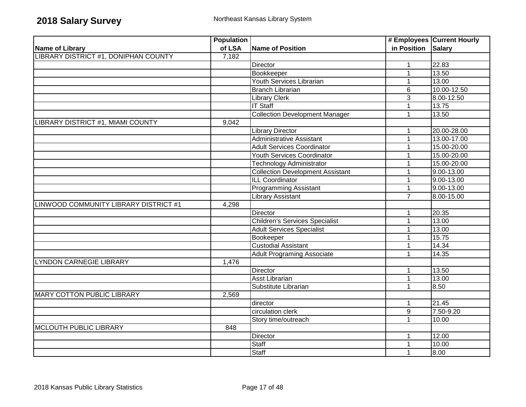|                                       | <b>Population</b> |                                         |                    | # Employees Current Hourly |
|---------------------------------------|-------------------|-----------------------------------------|--------------------|----------------------------|
| <b>Name of Library</b>                | of LSA            | <b>Name of Position</b>                 | in Position Salary |                            |
| LIBRARY DISTRICT #1, DONIPHAN COUNTY  | 7,182             |                                         |                    |                            |
|                                       |                   | Director                                | $\mathbf{1}$       | 22.83                      |
|                                       |                   | Bookkeeper                              | $\mathbf{1}$       | 13.50                      |
|                                       |                   | Youth Services Librarian                | $\mathbf{1}$       | 13.00                      |
|                                       |                   | <b>Branch Librarian</b>                 | 6                  | 10.00-12.50                |
|                                       |                   | <b>Library Clerk</b>                    | 3                  | 8.00-12.50                 |
|                                       |                   | <b>IT Staff</b>                         | $\mathbf 1$        | 13.75                      |
|                                       |                   | <b>Collection Development Manager</b>   | 1                  | 13.50                      |
| LIBRARY DISTRICT #1, MIAMI COUNTY     | 9,042             |                                         |                    |                            |
|                                       |                   | <b>Library Director</b>                 | 1                  | 20.00-28.00                |
|                                       |                   | <b>Administrative Assistant</b>         | $\mathbf{1}$       | 13.00-17.00                |
|                                       |                   | <b>Adult Services Coordinator</b>       | $\mathbf 1$        | 15.00-20.00                |
|                                       |                   | Youth Services Coordinator              | $\mathbf 1$        | 15.00-20.00                |
|                                       |                   | <b>Technology Administrator</b>         | 1                  | 15.00-20.00                |
|                                       |                   | <b>Collection Development Assistant</b> | $\mathbf 1$        | 9.00-13.00                 |
|                                       |                   | <b>ILL Coordinator</b>                  | 1                  | 9.00-13.00                 |
|                                       |                   | <b>Programming Assistant</b>            | $\mathbf 1$        | 9.00-13.00                 |
|                                       |                   | <b>Library Assistant</b>                | $\overline{7}$     | 8.00-15.00                 |
| LINWOOD COMMUNITY LIBRARY DISTRICT #1 | 4,298             |                                         |                    |                            |
|                                       |                   | Director                                | $\mathbf 1$        | 20.35                      |
|                                       |                   | <b>Children's Services Specialist</b>   | $\mathbf{1}$       | 13.00                      |
|                                       |                   | <b>Adult Services Specialist</b>        | 1                  | 13.00                      |
|                                       |                   | Bookeeper                               | $\mathbf{1}$       | 15.75                      |
|                                       |                   | <b>Custodial Assistant</b>              | 1                  | 14.34                      |
|                                       |                   | <b>Adult Programing Associate</b>       | 1                  | 14.35                      |
| <b>LYNDON CARNEGIE LIBRARY</b>        | 1,476             |                                         |                    |                            |
|                                       |                   | <b>Director</b>                         | $\mathbf 1$        | 13.50                      |
|                                       |                   | <b>Asst Librarian</b>                   | $\mathbf{1}$       | 13.00                      |
|                                       |                   | Substitute Librarian                    | $\mathbf 1$        | 8.50                       |
| <b>MARY COTTON PUBLIC LIBRARY</b>     | 2,569             |                                         |                    |                            |
|                                       |                   | director                                | 1                  | 21.45                      |
|                                       |                   | circulation clerk                       | $\boldsymbol{9}$   | 7.50-9.20                  |
|                                       |                   | Story time/outreach                     | $\overline{1}$     | 10.00                      |
| <b>MCLOUTH PUBLIC LIBRARY</b>         | 848               |                                         |                    |                            |
|                                       |                   | Director                                | 1                  | 12.00                      |
|                                       |                   | Staff                                   | 1                  | 10.00                      |
|                                       |                   | <b>Staff</b>                            | $\mathbf{1}$       | 0.86                       |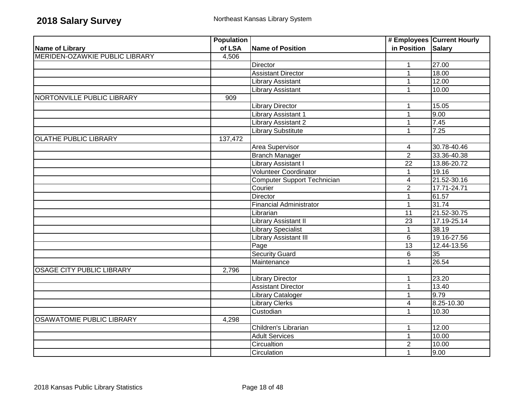|                                  | <b>Population</b> |                                |                          | # Employees Current Hourly |
|----------------------------------|-------------------|--------------------------------|--------------------------|----------------------------|
| Name of Library                  | of LSA            | <b>Name of Position</b>        | in Position Salary       |                            |
| MERIDEN-OZAWKIE PUBLIC LIBRARY   | 4,506             |                                |                          |                            |
|                                  |                   | Director                       | $\mathbf{1}$             | 27.00                      |
|                                  |                   | <b>Assistant Director</b>      | $\mathbf{1}$             | 18.00                      |
|                                  |                   | <b>Library Assistant</b>       | $\mathbf{1}$             | 12.00                      |
|                                  |                   | <b>Library Assistant</b>       | 1                        | 10.00                      |
| NORTONVILLE PUBLIC LIBRARY       | 909               |                                |                          |                            |
|                                  |                   | <b>Library Director</b>        | $\mathbf{1}$             | 15.05                      |
|                                  |                   | Library Assistant 1            | $\mathbf{1}$             | 9.00                       |
|                                  |                   | Library Assistant 2            | $\mathbf{1}$             | 7.45                       |
|                                  |                   | <b>Library Substitute</b>      | 1                        | 7.25                       |
| <b>OLATHE PUBLIC LIBRARY</b>     | 137,472           |                                |                          |                            |
|                                  |                   | <b>Area Supervisor</b>         | 4                        | 30.78-40.46                |
|                                  |                   | <b>Branch Manager</b>          | $\overline{2}$           | 33.36-40.38                |
|                                  |                   | <b>Library Assistant I</b>     | $\overline{22}$          | 13.86-20.72                |
|                                  |                   | <b>Volunteer Coordinator</b>   | $\mathbf{1}$             | 19.16                      |
|                                  |                   | Computer Support Technician    | $\overline{\mathbf{4}}$  | 21.52-30.16                |
|                                  |                   | Courier                        | $\overline{2}$           | 17.71-24.71                |
|                                  |                   | Director                       | $\mathbf 1$              | 61.57                      |
|                                  |                   | <b>Financial Administrator</b> | $\mathbf{1}$             | 31.74                      |
|                                  |                   | Librarian                      | $\overline{11}$          | 21.52-30.75                |
|                                  |                   | Library Assistant II           | 23                       | 17.19-25.14                |
|                                  |                   | <b>Library Specialist</b>      | $\mathbf{1}$             | 38.19                      |
|                                  |                   | <b>Library Assistant III</b>   | 6                        | 19.16-27.56                |
|                                  |                   | Page                           | $\overline{13}$          | 12.44-13.56                |
|                                  |                   | <b>Security Guard</b>          | 6                        | 35                         |
|                                  |                   | Maintenance                    | 1                        | 26.54                      |
| <b>OSAGE CITY PUBLIC LIBRARY</b> | 2,796             |                                |                          |                            |
|                                  |                   | <b>Library Director</b>        | 1                        | 23.20                      |
|                                  |                   | <b>Assistant Director</b>      | 1                        | 13.40                      |
|                                  |                   | <b>Library Cataloger</b>       | 1                        | 9.79                       |
|                                  |                   | <b>Library Clerks</b>          | $\overline{\mathcal{A}}$ | 8.25-10.30                 |
|                                  |                   | Custodian                      | 1                        | 10.30                      |
| <b>OSAWATOMIE PUBLIC LIBRARY</b> | 4,298             |                                |                          |                            |
|                                  |                   | Children's Librarian           | 1                        | 12.00                      |
|                                  |                   | <b>Adult Services</b>          | $\mathbf{1}$             | 10.00                      |
|                                  |                   | Circualtion                    | $\overline{2}$           | 10.00                      |
|                                  |                   | Circulation                    | $\mathbf{1}$             | 9.00                       |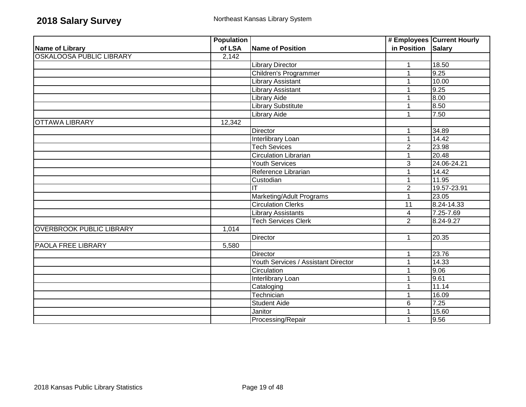|                                 | <b>Population</b> |                                     |                    | # Employees Current Hourly |
|---------------------------------|-------------------|-------------------------------------|--------------------|----------------------------|
| <b>Name of Library</b>          | of LSA            | <b>Name of Position</b>             | in Position Salary |                            |
| <b>OSKALOOSA PUBLIC LIBRARY</b> | 2,142             |                                     |                    |                            |
|                                 |                   | <b>Library Director</b>             | 1                  | 18.50                      |
|                                 |                   | Children's Programmer               | $\mathbf 1$        | 9.25                       |
|                                 |                   | <b>Library Assistant</b>            |                    | 10.00                      |
|                                 |                   | <b>Library Assistant</b>            |                    | 9.25                       |
|                                 |                   | <b>Library Aide</b>                 |                    | 8.00                       |
|                                 |                   | Library Substitute                  |                    | 8.50                       |
|                                 |                   | <b>Library Aide</b>                 |                    | 7.50                       |
| <b>OTTAWA LIBRARY</b>           | 12,342            |                                     |                    |                            |
|                                 |                   | Director                            | 1                  | 34.89                      |
|                                 |                   | Interlibrary Loan                   | 1                  | 14.42                      |
|                                 |                   | <b>Tech Sevices</b>                 | $\overline{2}$     | 23.98                      |
|                                 |                   | Circulation Librarian               | $\mathbf{1}$       | 20.48                      |
|                                 |                   | <b>Youth Services</b>               | $\overline{3}$     | 24.06-24.21                |
|                                 |                   | Reference Librarian                 |                    | 14.42                      |
|                                 |                   | Custodian                           |                    | 11.95                      |
|                                 |                   | IT                                  | $\overline{2}$     | 19.57-23.91                |
|                                 |                   | Marketing/Adult Programs            | $\mathbf 1$        | 23.05                      |
|                                 |                   | <b>Circulation Clerks</b>           | $\overline{11}$    | 8.24-14.33                 |
|                                 |                   | <b>Library Assistants</b>           | $\overline{4}$     | 7.25-7.69                  |
|                                 |                   | <b>Tech Services Clerk</b>          | $\overline{2}$     | 8.24-9.27                  |
| <b>OVERBROOK PUBLIC LIBRARY</b> | 1,014             |                                     |                    |                            |
|                                 |                   | Director                            | $\mathbf{1}$       | 20.35                      |
| PAOLA FREE LIBRARY              | 5,580             |                                     |                    |                            |
|                                 |                   | <b>Director</b>                     | 1                  | 23.76                      |
|                                 |                   | Youth Services / Assistant Director | 1                  | 14.33                      |
|                                 |                   | Circulation                         |                    | 9.06                       |
|                                 |                   | <b>Interlibrary Loan</b>            |                    | 9.61                       |
|                                 |                   | Cataloging                          | 1                  | 11.14                      |
|                                 |                   | Technician                          | $\mathbf{1}$       | 16.09                      |
|                                 |                   | <b>Student Aide</b>                 | 6                  | 7.25                       |
|                                 |                   | Janitor                             |                    | 15.60                      |
|                                 |                   | Processing/Repair                   | 1                  | 9.56                       |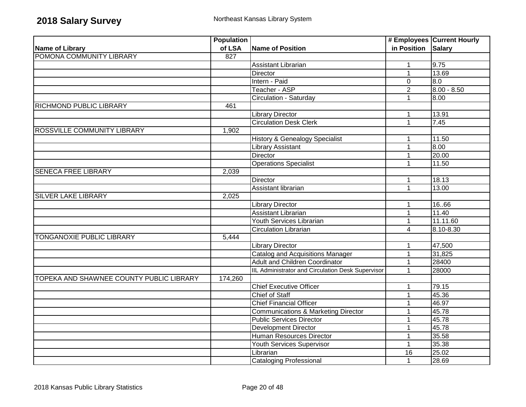|                                          | <b>Population</b> |                                                   |                    | # Employees Current Hourly |
|------------------------------------------|-------------------|---------------------------------------------------|--------------------|----------------------------|
| <b>Name of Library</b>                   | of LSA            | Name of Position                                  | in Position Salary |                            |
| POMONA COMMUNITY LIBRARY                 | 827               |                                                   |                    |                            |
|                                          |                   | <b>Assistant Librarian</b>                        | $\mathbf 1$        | 9.75                       |
|                                          |                   | Director                                          | $\mathbf{1}$       | 13.69                      |
|                                          |                   | Intern - Paid                                     | $\mathbf 0$        | 0.8                        |
|                                          |                   | Teacher - ASP                                     | $\overline{2}$     | $8.00 - 8.50$              |
|                                          |                   | Circulation - Saturday                            | 1                  | 8.00                       |
| <b>RICHMOND PUBLIC LIBRARY</b>           | 461               |                                                   |                    |                            |
|                                          |                   | <b>Library Director</b>                           | 1                  | 13.91                      |
|                                          |                   | <b>Circulation Desk Clerk</b>                     | $\mathbf{1}$       | 7.45                       |
| ROSSVILLE COMMUNITY LIBRARY              | 1,902             |                                                   |                    |                            |
|                                          |                   | <b>History &amp; Genealogy Specialist</b>         | 1                  | 11.50                      |
|                                          |                   | Library Assistant                                 | $\mathbf 1$        | 8.00                       |
|                                          |                   | <b>Director</b>                                   | $\mathbf 1$        | 20.00                      |
|                                          |                   | <b>Operations Specialist</b>                      | 1                  | 11.50                      |
| <b>SENECA FREE LIBRARY</b>               | 2,039             |                                                   |                    |                            |
|                                          |                   | Director                                          | $\mathbf{1}$       | 18.13                      |
|                                          |                   | Assistant librarian                               | $\mathbf{1}$       | 13.00                      |
| <b>SILVER LAKE LIBRARY</b>               | 2,025             |                                                   |                    |                            |
|                                          |                   | <b>Library Director</b>                           | 1                  | 16.66                      |
|                                          |                   | <b>Assistant Librarian</b>                        | $\mathbf 1$        | 11.40                      |
|                                          |                   | Youth Services Librarian                          | $\mathbf{1}$       | 11.11.60                   |
|                                          |                   | <b>Circulation Librarian</b>                      | $\overline{4}$     | $8.10 - 8.30$              |
| TONGANOXIE PUBLIC LIBRARY                | 5,444             |                                                   |                    |                            |
|                                          |                   | <b>Library Director</b>                           | $\mathbf 1$        | 47,500                     |
|                                          |                   | <b>Catalog and Acquisitions Manager</b>           | $\mathbf{1}$       | 31,825                     |
|                                          |                   | <b>Adult and Children Coordinator</b>             | 1                  | 28400                      |
|                                          |                   | IIL Administrator and Circulation Desk Supervisor | 1                  | 28000                      |
| TOPEKA AND SHAWNEE COUNTY PUBLIC LIBRARY | 174,260           |                                                   |                    |                            |
|                                          |                   | <b>Chief Executive Officer</b>                    | 1                  | 79.15                      |
|                                          |                   | <b>Chief of Staff</b>                             | $\mathbf{1}$       | 45.36                      |
|                                          |                   | <b>Chief Financial Officer</b>                    | 1                  | 46.97                      |
|                                          |                   | Communications & Marketing Director               | 1                  | 45.78                      |
|                                          |                   | <b>Public Services Director</b>                   | 1                  | 45.78                      |
|                                          |                   | <b>Development Director</b>                       | 1                  | 45.78                      |
|                                          |                   | Human Resources Director                          | $\mathbf 1$        | 35.58                      |
|                                          |                   | <b>Youth Services Supervisor</b>                  | $\mathbf{1}$       | 35.38                      |
|                                          |                   | Librarian                                         | 16                 | 25.02                      |
|                                          |                   | <b>Cataloging Professional</b>                    | 1                  | 28.69                      |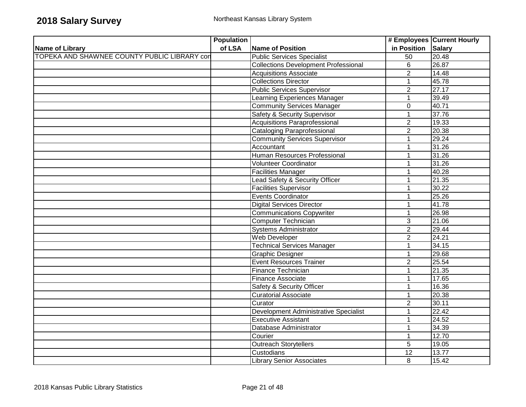|                                              | <b>Population</b> |                                             |                    | # Employees Current Hourly |
|----------------------------------------------|-------------------|---------------------------------------------|--------------------|----------------------------|
| Name of Library                              | of LSA            | Name of Position                            | in Position Salary |                            |
| TOPEKA AND SHAWNEE COUNTY PUBLIC LIBRARY con |                   | <b>Public Services Specialist</b>           | $\overline{50}$    | 20.48                      |
|                                              |                   | <b>Collections Development Professional</b> | $\overline{6}$     | 26.87                      |
|                                              |                   | <b>Acquisitions Associate</b>               | $\overline{2}$     | 14.48                      |
|                                              |                   | <b>Collections Director</b>                 | 1                  | 45.78                      |
|                                              |                   | <b>Public Services Supervisor</b>           | $\overline{2}$     | 27.17                      |
|                                              |                   | Learning Experiences Manager                | $\mathbf{1}$       | 39.49                      |
|                                              |                   | <b>Community Services Manager</b>           | $\mathbf 0$        | 40.71                      |
|                                              |                   | <b>Safety &amp; Security Supervisor</b>     | 1                  | 37.76                      |
|                                              |                   | <b>Acquisitions Paraprofessional</b>        | $\overline{2}$     | 19.33                      |
|                                              |                   | <b>Cataloging Paraprofessional</b>          | $\overline{2}$     | 20.38                      |
|                                              |                   | <b>Community Services Supervisor</b>        | 1                  | 29.24                      |
|                                              |                   | Accountant                                  | 1                  | 31.26                      |
|                                              |                   | Human Resources Professional                | 1                  | 31.26                      |
|                                              |                   | <b>Volunteer Coordinator</b>                | 1                  | 31.26                      |
|                                              |                   | <b>Facilities Manager</b>                   | 1                  | 40.28                      |
|                                              |                   | Lead Safety & Security Officer              | 1                  | 21.35                      |
|                                              |                   | <b>Facilities Supervisor</b>                | $\mathbf{1}$       | 30.22                      |
|                                              |                   | Events Coordinator                          | 1                  | 25.26                      |
|                                              |                   | <b>Digital Services Director</b>            | 1                  | 41.78                      |
|                                              |                   | <b>Communications Copywriter</b>            | 1                  | 26.98                      |
|                                              |                   | <b>Computer Technician</b>                  | $\mathbf{3}$       | 21.06                      |
|                                              |                   | <b>Systems Administrator</b>                | $\overline{2}$     | 29.44                      |
|                                              |                   | Web Developer                               | $\overline{2}$     | 24.21                      |
|                                              |                   | <b>Technical Services Manager</b>           | 1                  | 34.15                      |
|                                              |                   | <b>Graphic Designer</b>                     | 1                  | 29.68                      |
|                                              |                   | <b>Event Resources Trainer</b>              | $\overline{2}$     | 25.54                      |
|                                              |                   | <b>Finance Technician</b>                   | $\mathbf{1}$       | 21.35                      |
|                                              |                   | Finance Associate                           | 1                  | 17.65                      |
|                                              |                   | Safety & Security Officer                   | 1                  | 16.36                      |
|                                              |                   | <b>Curatorial Associate</b>                 | 1                  | 20.38                      |
|                                              |                   | Curator                                     | $\overline{2}$     | 30.11                      |
|                                              |                   | Development Administrative Specialist       | 1                  | 22.42                      |
|                                              |                   | <b>Executive Assistant</b>                  | 1                  | 24.52                      |
|                                              |                   | Database Administrator                      | 1                  | 34.39                      |
|                                              |                   | Courier                                     | 1                  | 12.70                      |
|                                              |                   | <b>Outreach Storytellers</b>                | 5                  | 19.05                      |
|                                              |                   | Custodians                                  | 12                 | 13.77                      |
|                                              |                   | Library Senior Associates                   | 8                  | 15.42                      |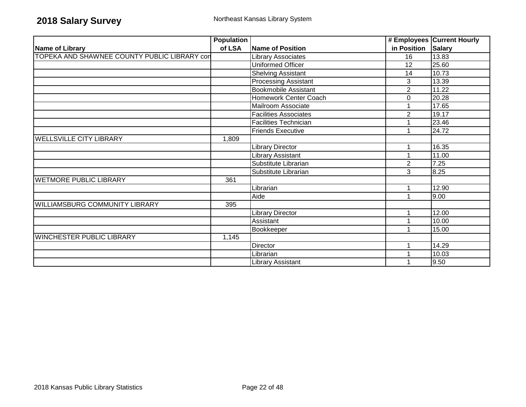|                                              | <b>Population</b> |                              |                | # Employees Current Hourly |
|----------------------------------------------|-------------------|------------------------------|----------------|----------------------------|
| Name of Library                              | of LSA            | Name of Position             | in Position    | <b>Salary</b>              |
| TOPEKA AND SHAWNEE COUNTY PUBLIC LIBRARY con |                   | Library Associates           | 16             | 13.83                      |
|                                              |                   | <b>Uniformed Officer</b>     | 12             | 25.60                      |
|                                              |                   | <b>Shelving Assistant</b>    | 14             | 10.73                      |
|                                              |                   | <b>Processing Assistant</b>  | 3              | 13.39                      |
|                                              |                   | <b>Bookmobile Assistant</b>  | $\overline{2}$ | 11.22                      |
|                                              |                   | Homework Center Coach        | 0              | 20.28                      |
|                                              |                   | Mailroom Associate           |                | 17.65                      |
|                                              |                   | <b>Facilities Associates</b> | $\overline{2}$ | 19.17                      |
|                                              |                   | <b>Facilities Technician</b> |                | 23.46                      |
|                                              |                   | <b>Friends Executive</b>     |                | 24.72                      |
| <b>WELLSVILLE CITY LIBRARY</b>               | 1,809             |                              |                |                            |
|                                              |                   | <b>Library Director</b>      |                | 16.35                      |
|                                              |                   | Library Assistant            |                | 11.00                      |
|                                              |                   | Substitute Librarian         | $\overline{2}$ | 7.25                       |
|                                              |                   | Substitute Librarian         | 3              | 8.25                       |
| <b>WETMORE PUBLIC LIBRARY</b>                | 361               |                              |                |                            |
|                                              |                   | Librarian                    |                | 12.90                      |
|                                              |                   | Aide                         |                | 9.00                       |
| <b>WILLIAMSBURG COMMUNITY LIBRARY</b>        | 395               |                              |                |                            |
|                                              |                   | <b>Library Director</b>      |                | 12.00                      |
|                                              |                   | Assistant                    |                | 10.00                      |
|                                              |                   | Bookkeeper                   |                | 15.00                      |
| <b>WINCHESTER PUBLIC LIBRARY</b>             | 1,145             |                              |                |                            |
|                                              |                   | Director                     |                | 14.29                      |
|                                              |                   | Librarian                    |                | 10.03                      |
|                                              |                   | <b>Library Assistant</b>     |                | 9.50                       |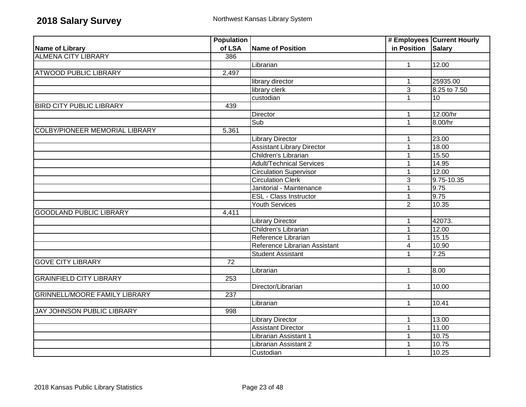|                                       | <b>Population</b> |                                   |                | # Employees Current Hourly |
|---------------------------------------|-------------------|-----------------------------------|----------------|----------------------------|
| Name of Library                       | of LSA            | <b>Name of Position</b>           | in Position    | <b>Salary</b>              |
| <b>ALMENA CITY LIBRARY</b>            | 386               |                                   |                |                            |
|                                       |                   | Librarian                         | $\mathbf{1}$   | 12.00                      |
| <b>ATWOOD PUBLIC LIBRARY</b>          | 2,497             |                                   |                |                            |
|                                       |                   | library director                  | $\mathbf{1}$   | 25935.00                   |
|                                       |                   | library clerk                     | 3              | 8.25 to 7.50               |
|                                       |                   | custodian                         | 1              | 10                         |
| <b>BIRD CITY PUBLIC LIBRARY</b>       | 439               |                                   |                |                            |
|                                       |                   | Director                          | 1              | 12.00/hr                   |
|                                       |                   | Sub                               | $\mathbf{1}$   | 8.00/hr                    |
| <b>COLBY/PIONEER MEMORIAL LIBRARY</b> | 5,361             |                                   |                |                            |
|                                       |                   | <b>Library Director</b>           | 1              | 23.00                      |
|                                       |                   | <b>Assistant Library Director</b> | $\mathbf 1$    | 18.00                      |
|                                       |                   | Children's Librarian              | 1              | 15.50                      |
|                                       |                   | <b>Adult/Technical Services</b>   | 1              | 14.95                      |
|                                       |                   | <b>Circulation Supervisor</b>     | 1              | 12.00                      |
|                                       |                   | <b>Circulation Clerk</b>          | 3              | 9.75-10.35                 |
|                                       |                   | Janitorial - Maintenance          | 1              | 9.75                       |
|                                       |                   | <b>ESL - Class Instructor</b>     | 1              | 9.75                       |
|                                       |                   | <b>Youth Services</b>             | $\overline{2}$ | 10.35                      |
| <b>GOODLAND PUBLIC LIBRARY</b>        | 4,411             |                                   |                |                            |
|                                       |                   | <b>Library Director</b>           | 1              | 42073.                     |
|                                       |                   | Children's Librarian              | 1              | 12.00                      |
|                                       |                   | Reference Librarian               | 1              | 15.15                      |
|                                       |                   | Reference Librarian Assistant     | $\overline{4}$ | 10.90                      |
|                                       |                   | <b>Student Assistant</b>          | $\mathbf{1}$   | 7.25                       |
| <b>GOVE CITY LIBRARY</b>              | $\overline{72}$   |                                   |                |                            |
|                                       |                   | Librarian                         | $\mathbf{1}$   | 8.00                       |
| <b>GRAINFIELD CITY LIBRARY</b>        | 253               |                                   |                |                            |
|                                       |                   | Director/Librarian                | $\mathbf{1}$   | 10.00                      |
| <b>GRINNELL/MOORE FAMILY LIBRARY</b>  | $\overline{237}$  |                                   |                |                            |
|                                       |                   | Librarian                         | $\mathbf{1}$   | 10.41                      |
| JAY JOHNSON PUBLIC LIBRARY            | 998               |                                   |                |                            |
|                                       |                   | <b>Library Director</b>           | 1              | 13.00                      |
|                                       |                   | <b>Assistant Director</b>         | $\mathbf 1$    | 11.00                      |
|                                       |                   | Librarian Assistant 1             | 1              | 10.75                      |
|                                       |                   | Librarian Assistant 2             |                | 10.75                      |
|                                       |                   | Custodian                         | 1              | 10.25                      |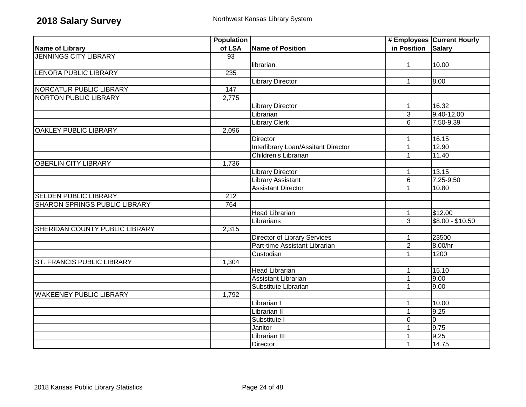|                                      | <b>Population</b> |                                            |                | # Employees Current Hourly |
|--------------------------------------|-------------------|--------------------------------------------|----------------|----------------------------|
| <b>Name of Library</b>               | of LSA            | Name of Position                           | in Position    | <b>Salary</b>              |
| <b>JENNINGS CITY LIBRARY</b>         | $\overline{93}$   |                                            |                |                            |
|                                      |                   | librarian                                  | $\mathbf{1}$   | 10.00                      |
| <b>LENORA PUBLIC LIBRARY</b>         | 235               |                                            |                |                            |
|                                      |                   | <b>Library Director</b>                    | $\mathbf{1}$   | 8.00                       |
| <b>NORCATUR PUBLIC LIBRARY</b>       | 147               |                                            |                |                            |
| <b>NORTON PUBLIC LIBRARY</b>         | 2,775             |                                            |                |                            |
|                                      |                   | <b>Library Director</b>                    | $\mathbf{1}$   | 16.32                      |
|                                      |                   | Librarian                                  | 3              | 9.40-12.00                 |
|                                      |                   | <b>Library Clerk</b>                       | 6              | 7.50-9.39                  |
| <b>OAKLEY PUBLIC LIBRARY</b>         | 2,096             |                                            |                |                            |
|                                      |                   | Director                                   | $\mathbf{1}$   | 16.15                      |
|                                      |                   | <b>Interlibrary Loan/Assitant Director</b> | 1              | 12.90                      |
|                                      |                   | Children's Librarian                       | 1              | 11.40                      |
| <b>OBERLIN CITY LIBRARY</b>          | 1,736             |                                            |                |                            |
|                                      |                   | <b>Library Director</b>                    | $\mathbf{1}$   | 13.15                      |
|                                      |                   | <b>Library Assistant</b>                   | 6              | 7.25-9.50                  |
|                                      |                   | <b>Assistant Director</b>                  | 1              | 10.80                      |
| <b>SELDEN PUBLIC LIBRARY</b>         | 212               |                                            |                |                            |
| <b>SHARON SPRINGS PUBLIC LIBRARY</b> | 764               |                                            |                |                            |
|                                      |                   | <b>Head Librarian</b>                      | $\mathbf{1}$   | \$12.00                    |
|                                      |                   | Librarians                                 | $\overline{3}$ | $$8.00 - $10.50$           |
| SHERIDAN COUNTY PUBLIC LIBRARY       | 2,315             |                                            |                |                            |
|                                      |                   | <b>Director of Library Services</b>        | 1              | 23500                      |
|                                      |                   | Part-time Assistant Librarian              | $\overline{2}$ | 8.00/hr                    |
|                                      |                   | Custodian                                  | 1              | 1200                       |
| <b>ST. FRANCIS PUBLIC LIBRARY</b>    | 1,304             |                                            |                |                            |
|                                      |                   | <b>Head Librarian</b>                      | 1              | 15.10                      |
|                                      |                   | <b>Assistant Librarian</b>                 | $\mathbf{1}$   | 9.00                       |
|                                      |                   | Substitute Librarian                       | 1              | 9.00                       |
| <b>WAKEENEY PUBLIC LIBRARY</b>       | 1,792             |                                            |                |                            |
|                                      |                   | Librarian I                                | 1              | 10.00                      |
|                                      |                   | Librarian II                               | $\mathbf{1}$   | 9.25                       |
|                                      |                   | Substitute I                               | $\overline{0}$ | $\overline{0}$             |
|                                      |                   | Janitor                                    | 1              | 9.75                       |
|                                      |                   | Librarian III                              |                | 9.25                       |
|                                      |                   | Director                                   | 1              | 14.75                      |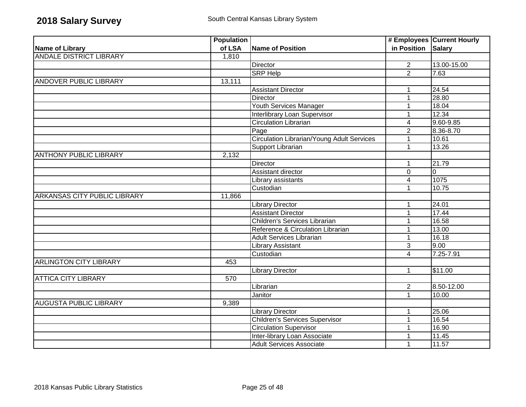|                                     | <b>Population</b> |                                            |                         | # Employees Current Hourly |
|-------------------------------------|-------------------|--------------------------------------------|-------------------------|----------------------------|
| <b>Name of Library</b>              | of LSA            | Name of Position                           | in Position Salary      |                            |
| <b>ANDALE DISTRICT LIBRARY</b>      | 1,810             |                                            |                         |                            |
|                                     |                   | <b>Director</b>                            | $\overline{2}$          | 13.00-15.00                |
|                                     |                   | <b>SRP Help</b>                            | $\overline{2}$          | 7.63                       |
| <b>ANDOVER PUBLIC LIBRARY</b>       | 13,111            |                                            |                         |                            |
|                                     |                   | <b>Assistant Director</b>                  | 1                       | 24.54                      |
|                                     |                   | <b>Director</b>                            | 1                       | 28.80                      |
|                                     |                   | <b>Youth Services Manager</b>              | 1                       | 18.04                      |
|                                     |                   | Interlibrary Loan Supervisor               | 1                       | 12.34                      |
|                                     |                   | Circulation Librarian                      | $\overline{\mathbf{4}}$ | 9.60-9.85                  |
|                                     |                   | Page                                       | $\overline{2}$          | 8.36-8.70                  |
|                                     |                   | Circulation Librarian/Young Adult Services | $\mathbf 1$             | 10.61                      |
|                                     |                   | Support Librarian                          | $\mathbf{1}$            | 13.26                      |
| <b>ANTHONY PUBLIC LIBRARY</b>       | 2,132             |                                            |                         |                            |
|                                     |                   | <b>Director</b>                            | 1                       | 21.79                      |
|                                     |                   | Assistant director                         | $\mathbf 0$             | $\overline{0}$             |
|                                     |                   | Library assistants                         | 4                       | 1075                       |
|                                     |                   | Custodian                                  | 1                       | 10.75                      |
| <b>ARKANSAS CITY PUBLIC LIBRARY</b> | 11,866            |                                            |                         |                            |
|                                     |                   | <b>Library Director</b>                    | 1                       | 24.01                      |
|                                     |                   | <b>Assistant Director</b>                  | 1                       | 17.44                      |
|                                     |                   | Children's Services Librarian              | 1                       | 16.58                      |
|                                     |                   | Reference & Circulation Librarian          | 1                       | 13.00                      |
|                                     |                   | <b>Adult Services Librarian</b>            | 1                       | 16.18                      |
|                                     |                   | <b>Library Assistant</b>                   | 3                       | 9.00                       |
|                                     |                   | Custodian                                  | 4                       | 7.25-7.91                  |
| <b>ARLINGTON CITY LIBRARY</b>       | 453               |                                            |                         |                            |
|                                     |                   | Library Director                           | 1                       | \$11.00                    |
| <b>ATTICA CITY LIBRARY</b>          | 570               |                                            |                         |                            |
|                                     |                   | Librarian                                  | $\overline{2}$          | 8.50-12.00                 |
|                                     |                   | Janitor                                    | $\overline{1}$          | 10.00                      |
| <b>AUGUSTA PUBLIC LIBRARY</b>       | 9,389             |                                            |                         |                            |
|                                     |                   | <b>Library Director</b>                    | 1                       | 25.06                      |
|                                     |                   | <b>Children's Services Supervisor</b>      | $\mathbf{1}$            | 16.54                      |
|                                     |                   | <b>Circulation Supervisor</b>              | 1                       | 16.90                      |
|                                     |                   | Inter-library Loan Associate               | 1                       | 11.45                      |
|                                     |                   | <b>Adult Services Associate</b>            | $\mathbf{1}$            | 11.57                      |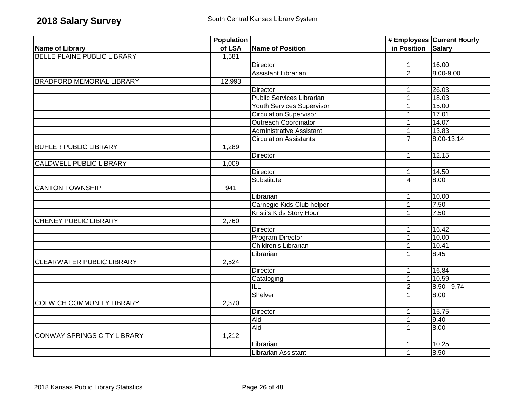|                                    | <b>Population</b> |                                  |                    | # Employees Current Hourly |
|------------------------------------|-------------------|----------------------------------|--------------------|----------------------------|
| <b>Name of Library</b>             | of LSA            | <b>Name of Position</b>          | in Position Salary |                            |
| BELLE PLAINE PUBLIC LIBRARY        | 1,581             |                                  |                    |                            |
|                                    |                   | <b>Director</b>                  | $\mathbf{1}$       | 16.00                      |
|                                    |                   | <b>Assistant Librarian</b>       | $\overline{2}$     | 8.00-9.00                  |
| <b>BRADFORD MEMORIAL LIBRARY</b>   | 12,993            |                                  |                    |                            |
|                                    |                   | Director                         | 1                  | 26.03                      |
|                                    |                   | <b>Public Services Librarian</b> | 1                  | 18.03                      |
|                                    |                   | Youth Services Supervisor        | 1                  | 15.00                      |
|                                    |                   | <b>Circulation Supervisor</b>    | 1                  | 17.01                      |
|                                    |                   | <b>Outreach Coordinator</b>      | $\mathbf 1$        | 14.07                      |
|                                    |                   | <b>Administrative Assistant</b>  | 1                  | 13.83                      |
|                                    |                   | <b>Circulation Assistants</b>    | $\overline{7}$     | 8.00-13.14                 |
| <b>BUHLER PUBLIC LIBRARY</b>       | 1,289             |                                  |                    |                            |
|                                    |                   | <b>Director</b>                  | 1                  | 12.15                      |
| <b>CALDWELL PUBLIC LIBRARY</b>     | 1,009             |                                  |                    |                            |
|                                    |                   | <b>Director</b>                  | $\mathbf 1$        | 14.50                      |
|                                    |                   | Substitute                       | 4                  | 8.00                       |
| <b>CANTON TOWNSHIP</b>             | 941               |                                  |                    |                            |
|                                    |                   | Librarian                        | 1                  | 10.00                      |
|                                    |                   | Carnegie Kids Club helper        | 1                  | 7.50                       |
|                                    |                   | Kristi's Kids Story Hour         | 1                  | 7.50                       |
| <b>CHENEY PUBLIC LIBRARY</b>       | 2,760             |                                  |                    |                            |
|                                    |                   | <b>Director</b>                  | 1                  | 16.42                      |
|                                    |                   | <b>Program Director</b>          | 1                  | 10.00                      |
|                                    |                   | Children's Librarian             | 1                  | 10.41                      |
|                                    |                   | Librarian                        | $\mathbf{1}$       | 8.45                       |
| <b>CLEARWATER PUBLIC LIBRARY</b>   | 2,524             |                                  |                    |                            |
|                                    |                   | Director                         | $\mathbf{1}$       | 16.84                      |
|                                    |                   | Cataloging                       | $\mathbf{1}$       | 10.59                      |
|                                    |                   | <b>ILL</b>                       | $\overline{2}$     | $8.50 - 9.74$              |
|                                    |                   | Shelver                          | 1                  | 8.00                       |
| <b>COLWICH COMMUNITY LIBRARY</b>   | 2,370             |                                  |                    |                            |
|                                    |                   | <b>Director</b>                  | $\mathbf 1$        | 15.75                      |
|                                    |                   | Aid                              | $\mathbf{1}$       | 9.40                       |
|                                    |                   | Aid                              | 1                  | 8.00                       |
| <b>CONWAY SPRINGS CITY LIBRARY</b> | 1,212             |                                  |                    |                            |
|                                    |                   | Librarian                        | 1                  | 10.25                      |
|                                    |                   | Librarian Assistant              | $\mathbf{1}$       | 8.50                       |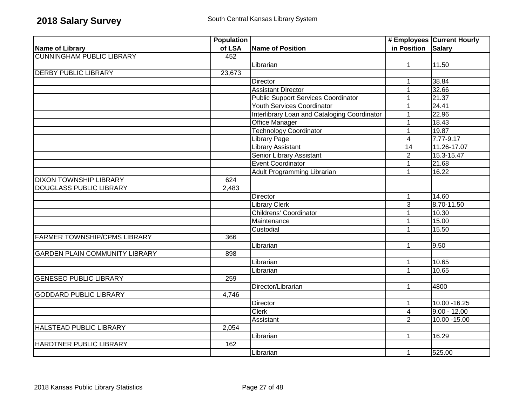|                                       | <b>Population</b> |                                              |                         | # Employees Current Hourly |
|---------------------------------------|-------------------|----------------------------------------------|-------------------------|----------------------------|
| Name of Library                       | of LSA            | Name of Position                             | in Position Salary      |                            |
| <b>CUNNINGHAM PUBLIC LIBRARY</b>      | 452               |                                              |                         |                            |
|                                       |                   | Librarian                                    | $\mathbf{1}$            | 11.50                      |
| <b>DERBY PUBLIC LIBRARY</b>           | 23,673            |                                              |                         |                            |
|                                       |                   | Director                                     | $\mathbf{1}$            | 38.84                      |
|                                       |                   | <b>Assistant Director</b>                    | $\mathbf 1$             | 32.66                      |
|                                       |                   | <b>Public Support Services Coordinator</b>   | 1                       | 21.37                      |
|                                       |                   | Youth Services Coordinator                   | 1                       | 24.41                      |
|                                       |                   | Interlibrary Loan and Cataloging Coordinator | 1                       | 22.96                      |
|                                       |                   | Office Manager                               | 1                       | 18.43                      |
|                                       |                   | <b>Technology Coordinator</b>                | $\mathbf{1}$            | 19.87                      |
|                                       |                   | <b>Library Page</b>                          | $\overline{4}$          | $\sqrt{7.77-9.17}$         |
|                                       |                   | <b>Library Assistant</b>                     | $\overline{14}$         | 11.26-17.07                |
|                                       |                   | Senior Library Assistant                     | $\overline{2}$          | 15.3-15.47                 |
|                                       |                   | Event Coordinator                            | 1                       | 21.68                      |
|                                       |                   | Adult Programming Librarian                  | $\mathbf{1}$            | 16.22                      |
| <b>DIXON TOWNSHIP LIBRARY</b>         | 624               |                                              |                         |                            |
| <b>DOUGLASS PUBLIC LIBRARY</b>        | 2,483             |                                              |                         |                            |
|                                       |                   | Director                                     | 1                       | 14.60                      |
|                                       |                   | <b>Library Clerk</b>                         | $\overline{3}$          | 8.70-11.50                 |
|                                       |                   | <b>Childrens' Coordinator</b>                | $\mathbf{1}$            | 10.30                      |
|                                       |                   | Maintenance                                  | $\mathbf{1}$            | 15.00                      |
|                                       |                   | Custodial                                    | 1                       | 15.50                      |
| <b>FARMER TOWNSHIP/CPMS LIBRARY</b>   | 366               |                                              |                         |                            |
|                                       |                   | Librarian                                    | $\mathbf{1}$            | 9.50                       |
| <b>GARDEN PLAIN COMMUNITY LIBRARY</b> | 898               |                                              |                         |                            |
|                                       |                   | Librarian                                    | $\mathbf{1}$            | 10.65                      |
|                                       |                   | Librarian                                    | $\mathbf{1}$            | 10.65                      |
| <b>GENESEO PUBLIC LIBRARY</b>         | 259               |                                              |                         |                            |
|                                       |                   | Director/Librarian                           | $\mathbf{1}$            | 4800                       |
| <b>GODDARD PUBLIC LIBRARY</b>         | 4,746             |                                              |                         |                            |
|                                       |                   | Director                                     | $\mathbf 1$             | 10.00 - 16.25              |
|                                       |                   | <b>Clerk</b>                                 | $\overline{\mathbf{4}}$ | $9.00 - 12.00$             |
|                                       |                   | Assistant                                    | $\overline{2}$          | 10.00 - 15.00              |
| HALSTEAD PUBLIC LIBRARY               | 2,054             |                                              |                         |                            |
|                                       |                   | Librarian                                    | $\mathbf{1}$            | 16.29                      |
| HARDTNER PUBLIC LIBRARY               | 162               |                                              |                         |                            |
|                                       |                   | Librarian                                    | $\mathbf{1}$            | 525.00                     |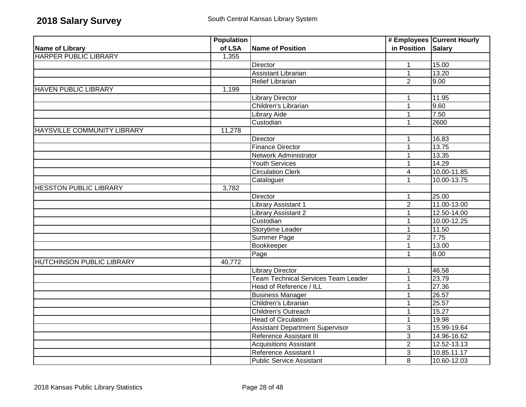|                                    | <b>Population</b> |                                            |                    | # Employees Current Hourly |
|------------------------------------|-------------------|--------------------------------------------|--------------------|----------------------------|
| Name of Library                    | of LSA            | Name of Position                           | in Position Salary |                            |
| <b>HARPER PUBLIC LIBRARY</b>       | 1,355             |                                            |                    |                            |
|                                    |                   | <b>Director</b>                            | $\mathbf{1}$       | 15.00                      |
|                                    |                   | <b>Assistant Librarian</b>                 | $\mathbf{1}$       | 13.20                      |
|                                    |                   | <b>Relief Librarian</b>                    | $\overline{2}$     | 9.00                       |
| <b>HAVEN PUBLIC LIBRARY</b>        | 1,199             |                                            |                    |                            |
|                                    |                   | <b>Library Director</b>                    | 1                  | 11.95                      |
|                                    |                   | Children's Librarian                       | 1                  | 9.60                       |
|                                    |                   | <b>Library Aide</b>                        | $\mathbf{1}$       | 7.50                       |
|                                    |                   | Custodian                                  | 1                  | 2600                       |
| <b>HAYSVILLE COMMUNITY LIBRARY</b> | 11,278            |                                            |                    |                            |
|                                    |                   | Director                                   | 1                  | 16.83                      |
|                                    |                   | <b>Finance Director</b>                    | 1                  | 13.75                      |
|                                    |                   | Network Administrator                      | $\mathbf 1$        | 13.35                      |
|                                    |                   | <b>Youth Services</b>                      | 1                  | 14.29                      |
|                                    |                   | <b>Circulation Clerk</b>                   | $\overline{4}$     | 10.00-11.85                |
|                                    |                   | Cataloguer                                 | $\overline{1}$     | 10.00-13.75                |
| <b>HESSTON PUBLIC LIBRARY</b>      | 3,782             |                                            |                    |                            |
|                                    |                   | <b>Director</b>                            | $\mathbf 1$        | 25.00                      |
|                                    |                   | <b>Library Assistant 1</b>                 | $\overline{2}$     | 11.00-13.00                |
|                                    |                   | Library Assistant 2                        | $\mathbf{1}$       | 12.50-14.00                |
|                                    |                   | Custodian                                  | 1                  | 10.00-12.25                |
|                                    |                   | Storytime Leader                           | $\mathbf{1}$       | 11.50                      |
|                                    |                   | <b>Summer Page</b>                         | $\overline{2}$     | 7.75                       |
|                                    |                   | Bookkeeper                                 | $\mathbf{1}$       | 13.00                      |
|                                    |                   | Page                                       | $\mathbf{1}$       | 8.00                       |
| <b>HUTCHINSON PUBLIC LIBRARY</b>   | 40,772            |                                            |                    |                            |
|                                    |                   | <b>Library Director</b>                    | 1                  | 46.58                      |
|                                    |                   | <b>Team Technical Services Team Leader</b> | $\mathbf{1}$       | 23.79                      |
|                                    |                   | Head of Reference / ILL                    | 1                  | 27.36                      |
|                                    |                   | <b>Business Manager</b>                    | 1                  | 26.57                      |
|                                    |                   | Children's Librarian                       | 1                  | 25.57                      |
|                                    |                   | Children's Outreach                        | 1                  | 15.27                      |
|                                    |                   | <b>Head of Circulation</b>                 | $\mathbf{1}$       | 19.98                      |
|                                    |                   | <b>Assistant Department Supervisor</b>     | $\sqrt{3}$         | 15.99-19.64                |
|                                    |                   | Reference Assistant III                    | $\overline{3}$     | 14.96-16.62                |
|                                    |                   | <b>Acquisitions Assistant</b>              | $\overline{2}$     | $\overline{12.52-13.13}$   |
|                                    |                   | Reference Assistant I                      | $\overline{3}$     | 10.85.11.17                |
|                                    |                   | <b>Public Service Assistant</b>            | 8                  | 10.60-12.03                |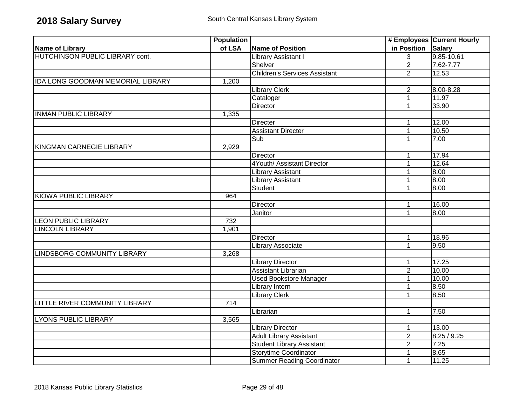|                                          | <b>Population</b> |                                      |                    | # Employees Current Hourly |
|------------------------------------------|-------------------|--------------------------------------|--------------------|----------------------------|
| Name of Library                          | of LSA            | <b>Name of Position</b>              | in Position Salary |                            |
| <b>HUTCHINSON PUBLIC LIBRARY cont.</b>   |                   | Library Assistant I                  | 3                  | 9.85-10.61                 |
|                                          |                   | Shelver                              | $\overline{2}$     | $7.62 - 7.77$              |
|                                          |                   | <b>Children's Services Assistant</b> | $\overline{2}$     | 12.53                      |
| <b>IDA LONG GOODMAN MEMORIAL LIBRARY</b> | 1,200             |                                      |                    |                            |
|                                          |                   | <b>Library Clerk</b>                 | $\overline{2}$     | 8.00-8.28                  |
|                                          |                   | Cataloger                            | $\overline{1}$     | 11.97                      |
|                                          |                   | Director                             | $\mathbf{1}$       | 33.90                      |
| <b>INMAN PUBLIC LIBRARY</b>              | 1,335             |                                      |                    |                            |
|                                          |                   | Directer                             | $\mathbf{1}$       | 12.00                      |
|                                          |                   | <b>Assistant Directer</b>            | $\mathbf{1}$       | 10.50                      |
|                                          |                   | Sub                                  | $\mathbf{1}$       | 7.00                       |
| KINGMAN CARNEGIE LIBRARY                 | 2,929             |                                      |                    |                            |
|                                          |                   | <b>Director</b>                      | $\mathbf 1$        | 17.94                      |
|                                          |                   | 4Youth/ Assistant Director           | $\mathbf{1}$       | 12.64                      |
|                                          |                   | <b>Library Assistant</b>             | 1                  | 8.00                       |
|                                          |                   | <b>Library Assistant</b>             | 1                  | 8.00                       |
|                                          |                   | Student                              | $\mathbf{1}$       | 00.8                       |
| <b>KIOWA PUBLIC LIBRARY</b>              | 964               |                                      |                    |                            |
|                                          |                   | Director                             | 1                  | 16.00                      |
|                                          |                   | Janitor                              | $\mathbf{1}$       | 8.00                       |
| <b>LEON PUBLIC LIBRARY</b>               | 732               |                                      |                    |                            |
| <b>LINCOLN LIBRARY</b>                   | 1,901             |                                      |                    |                            |
|                                          |                   | Director                             | $\mathbf{1}$       | 18.96                      |
|                                          |                   | <b>Library Associate</b>             | $\mathbf{1}$       | 9.50                       |
| <b>LINDSBORG COMMUNITY LIBRARY</b>       | 3,268             |                                      |                    |                            |
|                                          |                   | <b>Library Director</b>              | 1                  | 17.25                      |
|                                          |                   | Assistant Librarian                  | $\overline{2}$     | 10.00                      |
|                                          |                   | <b>Used Bookstore Manager</b>        | $\mathbf{1}$       | 10.00                      |
|                                          |                   | Library Intern                       | $\mathbf{1}$       | 8.50                       |
|                                          |                   | <b>Library Clerk</b>                 | 1                  | 8.50                       |
| LITTLE RIVER COMMUNITY LIBRARY           | 714               |                                      |                    |                            |
|                                          |                   | Librarian                            | $\mathbf{1}$       | 7.50                       |
| <b>LYONS PUBLIC LIBRARY</b>              | 3,565             |                                      |                    |                            |
|                                          |                   | <b>Library Director</b>              | 1                  | 13.00                      |
|                                          |                   | <b>Adult Library Assistant</b>       | $\overline{2}$     | 8.25/9.25                  |
|                                          |                   | <b>Student Library Assistant</b>     | $\overline{2}$     | 7.25                       |
|                                          |                   | <b>Storytime Coordinator</b>         | $\overline{1}$     | 8.65                       |
|                                          |                   | Summer Reading Coordinator           | $\mathbf{1}$       | 11.25                      |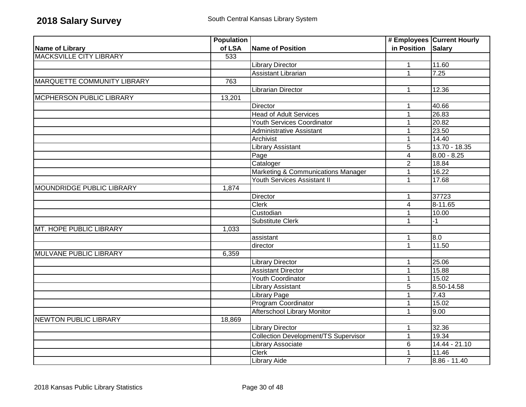|                                    | <b>Population</b> |                                             |                    | # Employees Current Hourly |
|------------------------------------|-------------------|---------------------------------------------|--------------------|----------------------------|
| <b>Name of Library</b>             | of LSA            | <b>Name of Position</b>                     | in Position Salary |                            |
| <b>MACKSVILLE CITY LIBRARY</b>     | 533               |                                             |                    |                            |
|                                    |                   | <b>Library Director</b>                     | $\mathbf{1}$       | 11.60                      |
|                                    |                   | <b>Assistant Librarian</b>                  | $\mathbf{1}$       | 7.25                       |
| <b>MARQUETTE COMMUNITY LIBRARY</b> | 763               |                                             |                    |                            |
|                                    |                   | Librarian Director                          | $\mathbf 1$        | 12.36                      |
| <b>MCPHERSON PUBLIC LIBRARY</b>    | 13,201            |                                             |                    |                            |
|                                    |                   | Director                                    | 1                  | 40.66                      |
|                                    |                   | <b>Head of Adult Services</b>               | $\mathbf{1}$       | 26.83                      |
|                                    |                   | <b>Youth Services Coordinator</b>           | $\mathbf{1}$       | 20.82                      |
|                                    |                   | Administrative Assistant                    | $\mathbf 1$        | 23.50                      |
|                                    |                   | Archivist                                   | $\mathbf{1}$       | 14.40                      |
|                                    |                   | Library Assistant                           | $\sqrt{5}$         | $13.70 - 18.35$            |
|                                    |                   | Page                                        | $\overline{4}$     | $8.00 - 8.25$              |
|                                    |                   | Cataloger                                   | $\overline{2}$     | 18.84                      |
|                                    |                   | Marketing & Communications Manager          | $\mathbf 1$        | 16.22                      |
|                                    |                   | Youth Services Assistant II                 | $\mathbf{1}$       | 17.68                      |
| MOUNDRIDGE PUBLIC LIBRARY          | 1,874             |                                             |                    |                            |
|                                    |                   | Director                                    | 1                  | 37723                      |
|                                    |                   | <b>Clerk</b>                                | $\overline{4}$     | $8 - 11.65$                |
|                                    |                   | Custodian                                   | 1                  | 10.00                      |
|                                    |                   | <b>Substitute Clerk</b>                     | $\mathbf 1$        | $-1$                       |
| MT. HOPE PUBLIC LIBRARY            | 1,033             |                                             |                    |                            |
|                                    |                   | assistant                                   | 1                  | 8.0                        |
|                                    |                   | director                                    | $\mathbf{1}$       | 11.50                      |
| <b>MULVANE PUBLIC LIBRARY</b>      | 6,359             |                                             |                    |                            |
|                                    |                   | <b>Library Director</b>                     | $\mathbf 1$        | 25.06                      |
|                                    |                   | <b>Assistant Director</b>                   | $\mathbf 1$        | 15.88                      |
|                                    |                   | Youth Coordinator                           | 1                  | 15.02                      |
|                                    |                   | <b>Library Assistant</b>                    | 5                  | 8.50-14.58                 |
|                                    |                   | <b>Library Page</b>                         | $\mathbf{1}$       | 7.43                       |
|                                    |                   | Program Coordinator                         | $\mathbf 1$        | 15.02                      |
|                                    |                   | Afterschool Library Monitor                 | $\mathbf{1}$       | 9.00                       |
| <b>NEWTON PUBLIC LIBRARY</b>       | 18,869            |                                             |                    |                            |
|                                    |                   | Library Director                            | $\mathbf 1$        | 32.36                      |
|                                    |                   | <b>Collection Development/TS Supervisor</b> | $\mathbf{1}$       | 19.34                      |
|                                    |                   | Library Associate                           | $6\phantom{1}$     | $14.44 - 21.10$            |
|                                    |                   | <b>Clerk</b>                                | $\mathbf{1}$       | 11.46                      |
|                                    |                   | <b>Library Aide</b>                         | $\overline{7}$     | $8.86 - 11.40$             |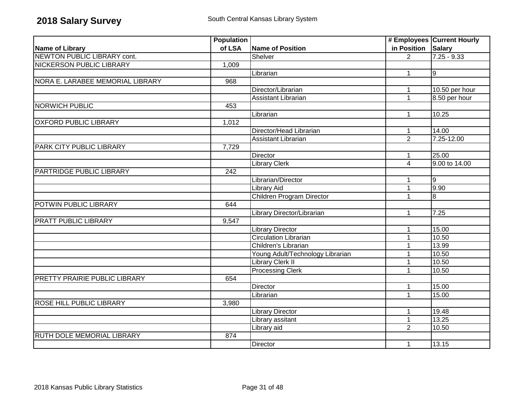|                                  | <b>Population</b> |                                  |                    | # Employees Current Hourly |
|----------------------------------|-------------------|----------------------------------|--------------------|----------------------------|
| Name of Library                  | of LSA            | <b>Name of Position</b>          | in Position Salary |                            |
| NEWTON PUBLIC LIBRARY cont.      |                   | Shelver                          | $\mathcal{P}$      | $7.25 - 9.33$              |
| <b>NICKERSON PUBLIC LIBRARY</b>  | 1,009             |                                  |                    |                            |
|                                  |                   | Librarian                        | $\mathbf{1}$       | 9                          |
| NORA E. LARABEE MEMORIAL LIBRARY | 968               |                                  |                    |                            |
|                                  |                   | Director/Librarian               | 1                  | 10.50 per hour             |
|                                  |                   | <b>Assistant Librarian</b>       | 1                  | 8.50 per hour              |
| <b>NORWICH PUBLIC</b>            | 453               |                                  |                    |                            |
|                                  |                   | Librarian                        | $\mathbf{1}$       | 10.25                      |
| <b>OXFORD PUBLIC LIBRARY</b>     | 1,012             |                                  |                    |                            |
|                                  |                   | Director/Head Librarian          | $\mathbf{1}$       | 14.00                      |
|                                  |                   | Assistant Librarian              | $\overline{2}$     | 7.25-12.00                 |
| <b>PARK CITY PUBLIC LIBRARY</b>  | 7,729             |                                  |                    |                            |
|                                  |                   | Director                         | $\mathbf{1}$       | 25.00                      |
|                                  |                   | <b>Library Clerk</b>             | $\overline{4}$     | 9.00 to 14.00              |
| <b>PARTRIDGE PUBLIC LIBRARY</b>  | 242               |                                  |                    |                            |
|                                  |                   | Librarian/Director               | 1                  | 9                          |
|                                  |                   | Library Aid                      | 1                  | 9.90                       |
|                                  |                   | Children Program Director        | 1                  | 8                          |
| POTWIN PUBLIC LIBRARY            | 644               |                                  |                    |                            |
|                                  |                   | Library Director/Librarian       | $\mathbf{1}$       | 7.25                       |
| <b>PRATT PUBLIC LIBRARY</b>      | 9,547             |                                  |                    |                            |
|                                  |                   | <b>Library Director</b>          | $\mathbf 1$        | 15.00                      |
|                                  |                   | <b>Circulation Librarian</b>     | 1                  | 10.50                      |
|                                  |                   | Children's Librarian             | 1                  | 13.99                      |
|                                  |                   | Young Adult/Technology Librarian | 1                  | 10.50                      |
|                                  |                   | Library Clerk II                 | 1                  | 10.50                      |
|                                  |                   | <b>Processing Clerk</b>          | 1                  | 10.50                      |
| PRETTY PRAIRIE PUBLIC LIBRARY    | 654               |                                  |                    |                            |
|                                  |                   | Director                         | 1                  | 15.00                      |
|                                  |                   | Librarian                        | 1                  | 15.00                      |
| <b>ROSE HILL PUBLIC LIBRARY</b>  | 3,980             |                                  |                    |                            |
|                                  |                   | <b>Library Director</b>          | 1                  | 19.48                      |
|                                  |                   | Library assitant                 | 1                  | 13.25                      |
|                                  |                   | Library aid                      | $\overline{2}$     | 10.50                      |
| RUTH DOLE MEMORIAL LIBRARY       | 874               |                                  |                    |                            |
|                                  |                   | <b>Director</b>                  | $\mathbf{1}$       | 13.15                      |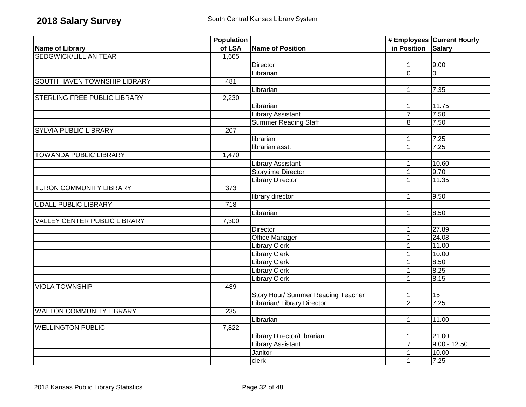|                                     | <b>Population</b> |                                    |                | # Employees Current Hourly |
|-------------------------------------|-------------------|------------------------------------|----------------|----------------------------|
| <b>Name of Library</b>              | of LSA            | Name of Position                   | in Position    | <b>Salary</b>              |
| <b>SEDGWICK/LILLIAN TEAR</b>        | 1,665             |                                    |                |                            |
|                                     |                   | <b>Director</b>                    | $\mathbf{1}$   | 9.00                       |
|                                     |                   | Librarian                          | $\overline{0}$ | $\overline{0}$             |
| SOUTH HAVEN TOWNSHIP LIBRARY        | 481               |                                    |                |                            |
|                                     |                   | Librarian                          | $\mathbf 1$    | 7.35                       |
| STERLING FREE PUBLIC LIBRARY        | 2,230             |                                    |                |                            |
|                                     |                   | Librarian                          | 1              | 11.75                      |
|                                     |                   | <b>Library Assistant</b>           | $\overline{7}$ | 7.50                       |
|                                     |                   | <b>Summer Reading Staff</b>        | 8              | 7.50                       |
| <b>SYLVIA PUBLIC LIBRARY</b>        | 207               |                                    |                |                            |
|                                     |                   | librarian                          | 1              | 7.25                       |
|                                     |                   | librarian asst.                    | $\mathbf{1}$   | 7.25                       |
| <b>TOWANDA PUBLIC LIBRARY</b>       | 1,470             |                                    |                |                            |
|                                     |                   | Library Assistant                  | 1              | 10.60                      |
|                                     |                   | <b>Storytime Director</b>          | $\mathbf{1}$   | 9.70                       |
|                                     |                   | <b>Library Director</b>            | $\mathbf{1}$   | 11.35                      |
| <b>TURON COMMUNITY LIBRARY</b>      | $\overline{373}$  |                                    |                |                            |
|                                     |                   | library director                   | $\mathbf{1}$   | 9.50                       |
| <b>UDALL PUBLIC LIBRARY</b>         | 718               |                                    |                |                            |
|                                     |                   | Librarian                          | $\mathbf 1$    | 8.50                       |
| <b>VALLEY CENTER PUBLIC LIBRARY</b> | 7,300             |                                    |                |                            |
|                                     |                   | Director                           | $\mathbf{1}$   | 27.89                      |
|                                     |                   | <b>Office Manager</b>              | $\mathbf 1$    | 24.08                      |
|                                     |                   | <b>Library Clerk</b>               | $\mathbf{1}$   | 11.00                      |
|                                     |                   | <b>Library Clerk</b>               | 1              | 10.00                      |
|                                     |                   | <b>Library Clerk</b>               | 1              | 8.50                       |
|                                     |                   | <b>Library Clerk</b>               | 1              | 8.25                       |
|                                     |                   | <b>Library Clerk</b>               | $\mathbf{1}$   | 8.15                       |
| <b>VIOLA TOWNSHIP</b>               | 489               |                                    |                |                            |
|                                     |                   | Story Hour/ Summer Reading Teacher | $\mathbf{1}$   | 15                         |
|                                     |                   | Librarian/ Library Director        | $\overline{2}$ | 7.25                       |
| <b>WALTON COMMUNITY LIBRARY</b>     | $\overline{235}$  |                                    |                |                            |
|                                     |                   | Librarian                          | $\mathbf{1}$   | 11.00                      |
| <b>WELLINGTON PUBLIC</b>            | 7,822             |                                    |                |                            |
|                                     |                   | Library Director/Librarian         | 1              | 21.00                      |
|                                     |                   | <b>Library Assistant</b>           | $\overline{7}$ | $9.00 - 12.50$             |
|                                     |                   | Janitor                            | 1              | 10.00                      |
|                                     |                   | clerk                              | 1              | 7.25                       |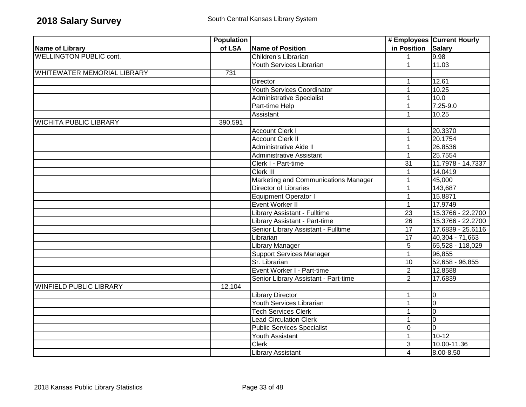|                                | <b>Population</b> |                                      |                    | # Employees Current Hourly |
|--------------------------------|-------------------|--------------------------------------|--------------------|----------------------------|
| Name of Library                | of LSA            | Name of Position                     | in Position Salary |                            |
| <b>WELLINGTON PUBLIC cont.</b> |                   | Children's Librarian                 | $\mathbf{1}$       | 9.98                       |
|                                |                   | Youth Services Librarian             | 1                  | 11.03                      |
| WHITEWATER MEMORIAL LIBRARY    | 731               |                                      |                    |                            |
|                                |                   | <b>Director</b>                      | 1                  | 12.61                      |
|                                |                   | <b>Youth Services Coordinator</b>    | 1                  | 10.25                      |
|                                |                   | <b>Administrative Specialist</b>     | 1                  | 10.0                       |
|                                |                   | Part-time Help                       | 1                  | 7.25-9.0                   |
|                                |                   | Assistant                            | 1                  | 10.25                      |
| <b>WICHITA PUBLIC LIBRARY</b>  | 390,591           |                                      |                    |                            |
|                                |                   | <b>Account Clerk I</b>               |                    | 20.3370                    |
|                                |                   | <b>Account Clerk II</b>              | $\mathbf{1}$       | 20.1754                    |
|                                |                   | Administrative Aide II               | 1                  | 26.8536                    |
|                                |                   | <b>Administrative Assistant</b>      | 1                  | 25.7554                    |
|                                |                   | Clerk I - Part-time                  | 31                 | 11.7978 - 14.7337          |
|                                |                   | Clerk III                            | 1                  | 14.0419                    |
|                                |                   | Marketing and Communications Manager | 1                  | 45,000                     |
|                                |                   | <b>Director of Libraries</b>         | 1                  | 143,687                    |
|                                |                   | <b>Equipment Operator I</b>          | $\mathbf 1$        | 15.8871                    |
|                                |                   | Event Worker II                      | $\mathbf{1}$       | 17.9749                    |
|                                |                   | Library Assistant - Fulltime         | $\overline{23}$    | 15.3766 - 22.2700          |
|                                |                   | Library Assistant - Part-time        | $\overline{26}$    | 15.3766 - 22.2700          |
|                                |                   | Senior Library Assistant - Fulltime  | $\overline{17}$    | 17.6839 - 25.6116          |
|                                |                   | Librarian                            | $\overline{17}$    | $40,304 - 71,663$          |
|                                |                   | <b>Library Manager</b>               | 5                  | 65,528 - 118,029           |
|                                |                   | <b>Support Services Manager</b>      | $\mathbf{1}$       | 96,855                     |
|                                |                   | Sr. Librarian                        | 10                 | $52,658 - 96,855$          |
|                                |                   | Event Worker I - Part-time           | $\overline{2}$     | 12.8588                    |
|                                |                   | Senior Library Assistant - Part-time | 2                  | 17.6839                    |
| <b>WINFIELD PUBLIC LIBRARY</b> | 12,104            |                                      |                    |                            |
|                                |                   | <b>Library Director</b>              | $\mathbf 1$        | 0                          |
|                                |                   | Youth Services Librarian             | $\mathbf{1}$       | $\overline{0}$             |
|                                |                   | <b>Tech Services Clerk</b>           |                    | $\overline{0}$             |
|                                |                   | <b>Lead Circulation Clerk</b>        |                    | $\mathbf 0$                |
|                                |                   | <b>Public Services Specialist</b>    | $\mathbf 0$        | $\overline{0}$             |
|                                |                   | Youth Assistant                      | 1                  | $10-12$                    |
|                                |                   | <b>Clerk</b>                         | 3                  | 10.00-11.36                |
|                                |                   | <b>Library Assistant</b>             | $\overline{4}$     | 8.00-8.50                  |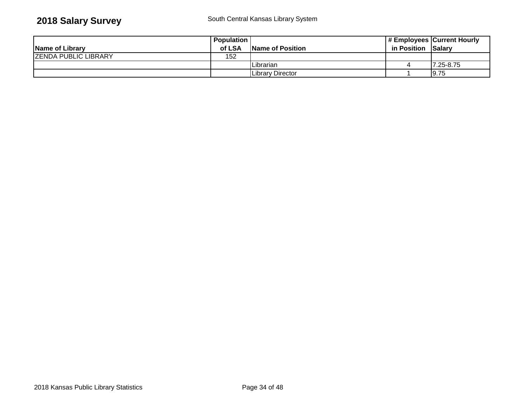|                             | <b>Population</b> |                  |                    | # Employees Current Hourly |
|-----------------------------|-------------------|------------------|--------------------|----------------------------|
| Name of Library             | of LSA            | Name of Position | in Position Salary |                            |
| <b>ZENDA PUBLIC LIBRARY</b> | 152               |                  |                    |                            |
|                             |                   | ILibrarian       |                    | <b>7.25-8.75</b>           |
|                             |                   | Library Director |                    | <b>9.75</b>                |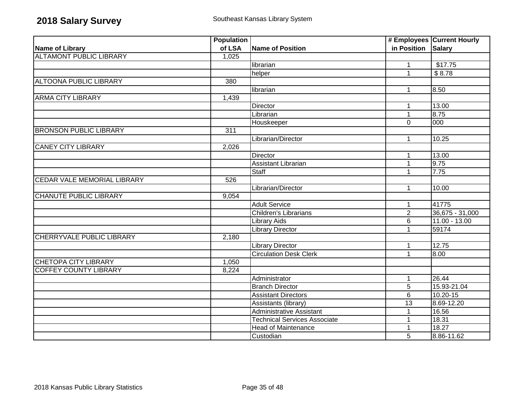|                                    | <b>Population</b> |                                     |                 | # Employees Current Hourly |
|------------------------------------|-------------------|-------------------------------------|-----------------|----------------------------|
| <b>Name of Library</b>             | of LSA            | Name of Position                    | in Position     | <b>Salary</b>              |
| <b>ALTAMONT PUBLIC LIBRARY</b>     | 1,025             |                                     |                 |                            |
|                                    |                   | librarian                           | 1               | \$17.75                    |
|                                    |                   | helper                              | 1               | \$8.78                     |
| <b>ALTOONA PUBLIC LIBRARY</b>      | 380               |                                     |                 |                            |
|                                    |                   | librarian                           | 1               | 8.50                       |
| <b>ARMA CITY LIBRARY</b>           | 1,439             |                                     |                 |                            |
|                                    |                   | <b>Director</b>                     | 1               | 13.00                      |
|                                    |                   | Librarian                           | 1               | 8.75                       |
|                                    |                   | Houskeeper                          | $\overline{0}$  | 000                        |
| <b>BRONSON PUBLIC LIBRARY</b>      | 311               |                                     |                 |                            |
|                                    |                   | Librarian/Director                  | 1               | 10.25                      |
| <b>CANEY CITY LIBRARY</b>          | 2,026             |                                     |                 |                            |
|                                    |                   | Director                            | 1               | 13.00                      |
|                                    |                   | <b>Assistant Librarian</b>          | 1               | 9.75                       |
|                                    |                   | Staff                               | 1               | 7.75                       |
| <b>CEDAR VALE MEMORIAL LIBRARY</b> | 526               |                                     |                 |                            |
|                                    |                   | Librarian/Director                  | $\mathbf 1$     | 10.00                      |
| <b>CHANUTE PUBLIC LIBRARY</b>      | 9,054             |                                     |                 |                            |
|                                    |                   | <b>Adult Service</b>                | 1               | 41775                      |
|                                    |                   | <b>Children's Librarians</b>        | $\overline{2}$  | 36,675 - 31,000            |
|                                    |                   | <b>Library Aids</b>                 | 6               | $11.00 - 13.00$            |
|                                    |                   | <b>Library Director</b>             | 1               | 59174                      |
| CHERRYVALE PUBLIC LIBRARY          | 2,180             |                                     |                 |                            |
|                                    |                   | <b>Library Director</b>             | 1               | 12.75                      |
|                                    |                   | <b>Circulation Desk Clerk</b>       | 1               | 8.00                       |
| <b>CHETOPA CITY LIBRARY</b>        | 1,050             |                                     |                 |                            |
| <b>COFFEY COUNTY LIBRARY</b>       | 8,224             |                                     |                 |                            |
|                                    |                   | Administrator                       | 1               | 26.44                      |
|                                    |                   | <b>Branch Director</b>              | $\overline{5}$  | 15.93-21.04                |
|                                    |                   | <b>Assistant Directors</b>          | $\overline{6}$  | $10.20 - 15$               |
|                                    |                   | Assistants (library)                | $\overline{13}$ | 8.69-12.20                 |
|                                    |                   | <b>Administrative Assistant</b>     |                 | 16.56                      |
|                                    |                   | <b>Technical Services Associate</b> |                 | 18.31                      |
|                                    |                   | <b>Head of Maintenance</b>          |                 | 18.27                      |
|                                    |                   | Custodian                           | 5               | 8.86-11.62                 |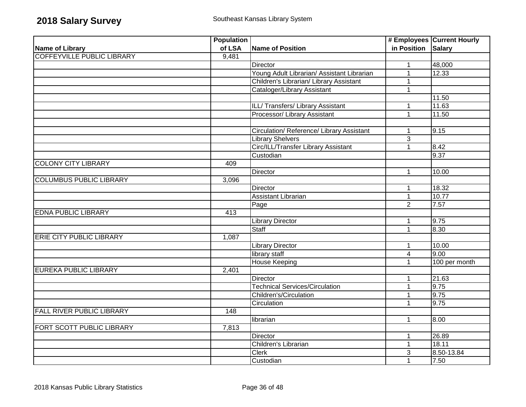|                                   | <b>Population</b> |                                            |                    | # Employees Current Hourly |
|-----------------------------------|-------------------|--------------------------------------------|--------------------|----------------------------|
| <b>Name of Library</b>            | of LSA            | Name of Position                           | in Position Salary |                            |
| <b>COFFEYVILLE PUBLIC LIBRARY</b> | 9,481             |                                            |                    |                            |
|                                   |                   | Director                                   | $\mathbf{1}$       | 48,000                     |
|                                   |                   | Young Adult Librarian/ Assistant Librarian | 1                  | 12.33                      |
|                                   |                   | Children's Librarian/ Library Assistant    | 1                  |                            |
|                                   |                   | Cataloger/Library Assistant                | $\mathbf{1}$       |                            |
|                                   |                   |                                            |                    | 11.50                      |
|                                   |                   | ILL/Transfers/Library Assistant            | 1                  | 11.63                      |
|                                   |                   | Processor/ Library Assistant               | $\mathbf{1}$       | 11.50                      |
|                                   |                   |                                            |                    |                            |
|                                   |                   | Circulation/ Reference/ Library Assistant  | $\mathbf 1$        | 9.15                       |
|                                   |                   | <b>Library Shelvers</b>                    | 3                  |                            |
|                                   |                   | Circ/ILL/Transfer Library Assistant        | 1                  | 8.42                       |
|                                   |                   | Custodian                                  |                    | 9.37                       |
| <b>COLONY CITY LIBRARY</b>        | 409               |                                            |                    |                            |
|                                   |                   | <b>Director</b>                            | $\mathbf{1}$       | 10.00                      |
| <b>COLUMBUS PUBLIC LIBRARY</b>    | 3,096             |                                            |                    |                            |
|                                   |                   | Director                                   | $\mathbf{1}$       | 18.32                      |
|                                   |                   | <b>Assistant Librarian</b>                 | $\mathbf{1}$       | 10.77                      |
|                                   |                   | Page                                       | $\overline{2}$     | 7.57                       |
| <b>EDNA PUBLIC LIBRARY</b>        | 413               |                                            |                    |                            |
|                                   |                   | <b>Library Director</b>                    | 1                  | 9.75                       |
|                                   |                   | <b>Staff</b>                               | $\overline{1}$     | 8.30                       |
| <b>ERIE CITY PUBLIC LIBRARY</b>   | 1,087             |                                            |                    |                            |
|                                   |                   | <b>Library Director</b>                    | $\mathbf{1}$       | 10.00                      |
|                                   |                   | library staff                              | 4                  | 9.00                       |
|                                   |                   | <b>House Keeping</b>                       | 1                  | 100 per month              |
| <b>EUREKA PUBLIC LIBRARY</b>      | 2,401             |                                            |                    |                            |
|                                   |                   | Director                                   | 1                  | 21.63                      |
|                                   |                   | <b>Technical Services/Circulation</b>      | 1                  | 9.75                       |
|                                   |                   | Children's/Circulation                     | $\mathbf{1}$       | 9.75                       |
|                                   |                   | Circulation                                | $\mathbf{1}$       | 9.75                       |
| <b>FALL RIVER PUBLIC LIBRARY</b>  | $\overline{148}$  |                                            |                    |                            |
|                                   |                   | librarian                                  | $\mathbf{1}$       | 8.00                       |
| FORT SCOTT PUBLIC LIBRARY         | 7,813             |                                            |                    |                            |
|                                   |                   | <b>Director</b>                            | $\mathbf 1$        | 26.89                      |
|                                   |                   | Children's Librarian                       | 1                  | 18.11                      |
|                                   |                   | <b>Clerk</b>                               | 3                  | 8.50-13.84                 |
|                                   |                   | Custodian                                  | $\mathbf{1}$       | 7.50                       |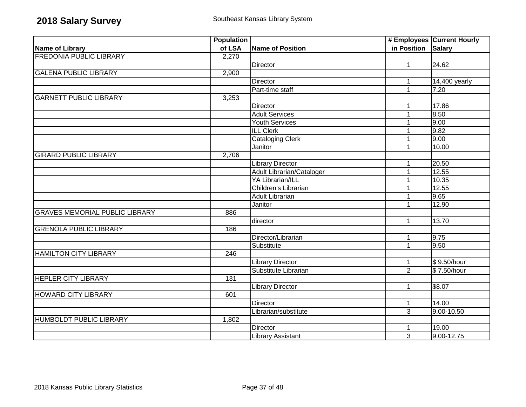|                                       | <b>Population</b> |                                  |                    | # Employees Current Hourly |
|---------------------------------------|-------------------|----------------------------------|--------------------|----------------------------|
| <b>Name of Library</b>                | of LSA            | <b>Name of Position</b>          | in Position Salary |                            |
| <b>FREDONIA PUBLIC LIBRARY</b>        | 2,270             |                                  |                    |                            |
|                                       |                   | Director                         | $\mathbf{1}$       | 24.62                      |
| <b>GALENA PUBLIC LIBRARY</b>          | 2,900             |                                  |                    |                            |
|                                       |                   | Director                         | 1                  | 14,400 yearly              |
|                                       |                   | Part-time staff                  | 1                  | 7.20                       |
| <b>GARNETT PUBLIC LIBRARY</b>         | 3,253             |                                  |                    |                            |
|                                       |                   | Director                         | 1                  | 17.86                      |
|                                       |                   | <b>Adult Services</b>            | 1                  | 8.50                       |
|                                       |                   | Youth Services                   |                    | 9.00                       |
|                                       |                   | <b>ILL Clerk</b>                 |                    | 9.82                       |
|                                       |                   | <b>Cataloging Clerk</b>          |                    | 9.00                       |
|                                       |                   | Janitor                          | 1                  | 10.00                      |
| <b>GIRARD PUBLIC LIBRARY</b>          | 2,706             |                                  |                    |                            |
|                                       |                   | <b>Library Director</b>          | 1                  | 20.50                      |
|                                       |                   | <b>Adult Librarian/Cataloger</b> | 1                  | 12.55                      |
|                                       |                   | <b>YA Librarian/ILL</b>          | 1                  | 10.35                      |
|                                       |                   | Children's Librarian             | 1                  | 12.55                      |
|                                       |                   | Adult Librarian                  | 1                  | 9.65                       |
|                                       |                   | Janitor                          | 1                  | 12.90                      |
| <b>GRAVES MEMORIAL PUBLIC LIBRARY</b> | 886               |                                  |                    |                            |
|                                       |                   | director                         | $\mathbf 1$        | 13.70                      |
| <b>GRENOLA PUBLIC LIBRARY</b>         | 186               |                                  |                    |                            |
|                                       |                   | Director/Librarian               | 1                  | 9.75                       |
|                                       |                   | Substitute                       | 1                  | 9.50                       |
| <b>HAMILTON CITY LIBRARY</b>          | 246               |                                  |                    |                            |
|                                       |                   | <b>Library Director</b>          | 1                  | \$9.50/hour                |
|                                       |                   | Substitute Librarian             | $\overline{2}$     | \$7.50/hour                |
| <b>HEPLER CITY LIBRARY</b>            | 131               |                                  |                    |                            |
|                                       |                   | <b>Library Director</b>          | 1                  | \$8.07                     |
| <b>HOWARD CITY LIBRARY</b>            | 601               |                                  |                    |                            |
|                                       |                   | <b>Director</b>                  | $\mathbf{1}$       | 14.00                      |
|                                       |                   | Librarian/substitute             | 3                  | 9.00-10.50                 |
| HUMBOLDT PUBLIC LIBRARY               | 1,802             |                                  |                    |                            |
|                                       |                   | Director                         | 1                  | 19.00                      |
|                                       |                   | <b>Library Assistant</b>         | 3                  | 9.00-12.75                 |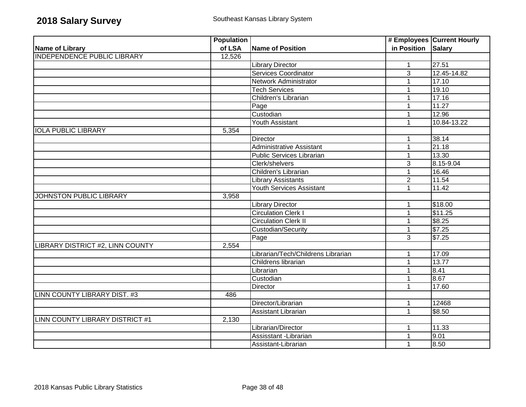|                                    | <b>Population</b> |                                    |                    | # Employees Current Hourly |
|------------------------------------|-------------------|------------------------------------|--------------------|----------------------------|
| Name of Library                    | of LSA            | <b>Name of Position</b>            | in Position Salary |                            |
| <b>INDEPENDENCE PUBLIC LIBRARY</b> | 12,526            |                                    |                    |                            |
|                                    |                   | <b>Library Director</b>            | $\mathbf{1}$       | 27.51                      |
|                                    |                   | <b>Services Coordinator</b>        | $\overline{3}$     | 12.45-14.82                |
|                                    |                   | Network Administrator              |                    | 17.10                      |
|                                    |                   | Tech Services                      | 1                  | 19.10                      |
|                                    |                   | Children's Librarian               |                    | 17.16                      |
|                                    |                   | Page                               | 1                  | 11.27                      |
|                                    |                   | Custodian                          |                    | 12.96                      |
|                                    |                   | Youth Assistant                    | 1                  | 10.84-13.22                |
| <b>IOLA PUBLIC LIBRARY</b>         | 5,354             |                                    |                    |                            |
|                                    |                   | Director                           | 1                  | 38.14                      |
|                                    |                   | <b>Administrative Assistant</b>    | 1                  | 21.18                      |
|                                    |                   | Public Services Librarian          | 1                  | 13.30                      |
|                                    |                   | Clerk/shelvers                     | 3                  | 8.15-9.04                  |
|                                    |                   | Children's Librarian               | 1                  | 16.46                      |
|                                    |                   | <b>Library Assistants</b>          | $\overline{2}$     | 11.54                      |
|                                    |                   | Youth Services Assistant           |                    | 11.42                      |
| JOHNSTON PUBLIC LIBRARY            | 3,958             |                                    |                    |                            |
|                                    |                   | <b>Library Director</b>            | 1                  | \$18.00                    |
|                                    |                   | <b>Circulation Clerk I</b>         |                    | \$11.25                    |
|                                    |                   | <b>Circulation Clerk II</b>        |                    | \$8.25                     |
|                                    |                   | Custodian/Security                 | 1                  | \$7.25                     |
|                                    |                   | Page                               | 3                  | \$7.25                     |
| LIBRARY DISTRICT #2, LINN COUNTY   | 2,554             |                                    |                    |                            |
|                                    |                   | Librarian/Tech/Childrens Librarian | 1                  | 17.09                      |
|                                    |                   | Childrens librarian                | 1                  | 13.77                      |
|                                    |                   | Librarian                          |                    | 8.41                       |
|                                    |                   | Custodian                          | 1                  | 8.67                       |
|                                    |                   | Director                           |                    | 17.60                      |
| LINN COUNTY LIBRARY DIST. #3       | 486               |                                    |                    |                            |
|                                    |                   | Director/Librarian                 | 1                  | 12468                      |
|                                    |                   | Assistant Librarian                | 1                  | \$8.50                     |
| LINN COUNTY LIBRARY DISTRICT #1    | 2,130             |                                    |                    |                            |
|                                    |                   | Librarian/Director                 | 1                  | 11.33                      |
|                                    |                   | Assisstant - Librarian             | 1                  | 9.01                       |
|                                    |                   | Assistant-Librarian                | 1                  | 8.50                       |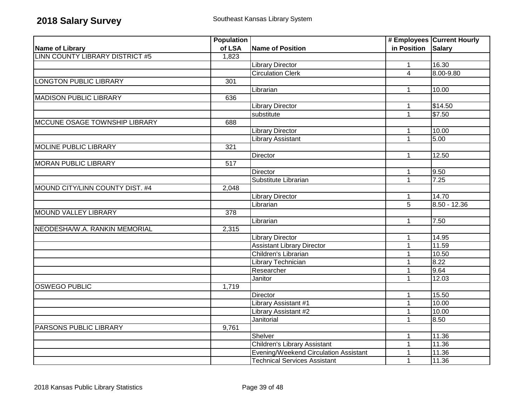|                                 | <b>Population</b> |                                       |                    | # Employees Current Hourly |
|---------------------------------|-------------------|---------------------------------------|--------------------|----------------------------|
| <b>Name of Library</b>          | of LSA            | <b>Name of Position</b>               | in Position Salary |                            |
| LINN COUNTY LIBRARY DISTRICT #5 | 1,823             |                                       |                    |                            |
|                                 |                   | <b>Library Director</b>               | $\mathbf{1}$       | 16.30                      |
|                                 |                   | <b>Circulation Clerk</b>              | $\overline{4}$     | 8.00-9.80                  |
| <b>LONGTON PUBLIC LIBRARY</b>   | 301               |                                       |                    |                            |
|                                 |                   | Librarian                             | 1                  | 10.00                      |
| <b>MADISON PUBLIC LIBRARY</b>   | 636               |                                       |                    |                            |
|                                 |                   | <b>Library Director</b>               | 1                  | \$14.50                    |
|                                 |                   | substitute                            | $\mathbf{1}$       | \$7.50                     |
| MCCUNE OSAGE TOWNSHIP LIBRARY   | 688               |                                       |                    |                            |
|                                 |                   | <b>Library Director</b>               | 1                  | 10.00                      |
|                                 |                   | Library Assistant                     | $\mathbf{1}$       | 5.00                       |
| <b>MOLINE PUBLIC LIBRARY</b>    | 321               |                                       |                    |                            |
|                                 |                   | Director                              | $\mathbf{1}$       | 12.50                      |
| <b>MORAN PUBLIC LIBRARY</b>     | $\overline{517}$  |                                       |                    |                            |
|                                 |                   | Director                              | 1                  | 9.50                       |
|                                 |                   | Substitute Librarian                  | $\mathbf{1}$       | 7.25                       |
| MOUND CITY/LINN COUNTY DIST. #4 | 2,048             |                                       |                    |                            |
|                                 |                   | <b>Library Director</b>               | 1                  | 14.70                      |
|                                 |                   | Librarian                             | $\overline{5}$     | $8.50 - 12.36$             |
| MOUND VALLEY LIBRARY            | 378               |                                       |                    |                            |
|                                 |                   | Librarian                             | 1                  | 7.50                       |
| NEODESHA/W.A. RANKIN MEMORIAL   | 2,315             |                                       |                    |                            |
|                                 |                   | <b>Library Director</b>               | 1                  | 14.95                      |
|                                 |                   | <b>Assistant Library Director</b>     | $\mathbf{1}$       | 11.59                      |
|                                 |                   | Children's Librarian                  | 1                  | 10.50                      |
|                                 |                   | Library Technician                    | 1                  | 8.22                       |
|                                 |                   | Researcher                            | 1                  | 9.64                       |
|                                 |                   | Janitor                               | $\mathbf 1$        | 12.03                      |
| <b>OSWEGO PUBLIC</b>            | 1,719             |                                       |                    |                            |
|                                 |                   | <b>Director</b>                       | 1                  | 15.50                      |
|                                 |                   | Library Assistant #1                  | 1                  | 10.00                      |
|                                 |                   | Library Assistant #2                  | $\mathbf{1}$       | 10.00                      |
|                                 |                   | Janitorial                            | 1                  | 8.50                       |
| <b>PARSONS PUBLIC LIBRARY</b>   | 9,761             |                                       |                    |                            |
|                                 |                   | Shelver                               | 1                  | 11.36                      |
|                                 |                   | Children's Library Assistant          | 1                  | 11.36                      |
|                                 |                   | Evening/Weekend Circulation Assistant |                    | 11.36                      |
|                                 |                   | <b>Technical Services Assistant</b>   | $\mathbf 1$        | 11.36                      |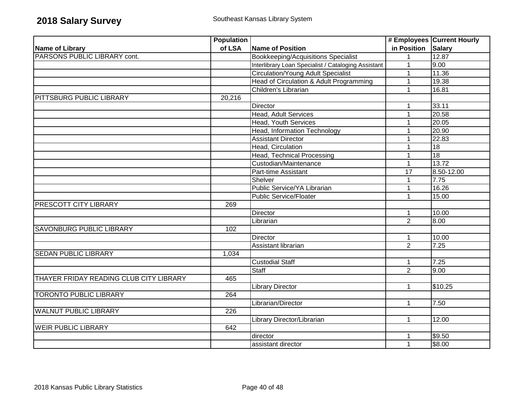|                                         | <b>Population</b> |                                                     |                 | # Employees Current Hourly |
|-----------------------------------------|-------------------|-----------------------------------------------------|-----------------|----------------------------|
| <b>Name of Library</b>                  | of LSA            | <b>Name of Position</b>                             | in Position     | <b>Salary</b>              |
| PARSONS PUBLIC LIBRARY cont.            |                   | <b>Bookkeeping/Acquisitions Specialist</b>          | $\mathbf 1$     | 12.87                      |
|                                         |                   | Interlibrary Loan Specialist / Cataloging Assistant | 1               | 9.00                       |
|                                         |                   | <b>Circulation/Young Adult Specialist</b>           | 1               | 11.36                      |
|                                         |                   | Head of Circulation & Adult Programming             | $\mathbf{1}$    | 19.38                      |
|                                         |                   | Children's Librarian                                | 1               | 16.81                      |
| <b>PITTSBURG PUBLIC LIBRARY</b>         | 20,216            |                                                     |                 |                            |
|                                         |                   | <b>Director</b>                                     | 1               | 33.11                      |
|                                         |                   | Head, Adult Services                                | 1               | 20.58                      |
|                                         |                   | Head, Youth Services                                | 1               | 20.05                      |
|                                         |                   | Head, Information Technology                        | 1               | 20.90                      |
|                                         |                   | <b>Assistant Director</b>                           | 1               | 22.83                      |
|                                         |                   | Head, Circulation                                   | 1               | 18                         |
|                                         |                   | <b>Head, Technical Processing</b>                   | 1               | 18                         |
|                                         |                   | Custodian/Maintenance                               | 1               | 13.72                      |
|                                         |                   | Part-time Assistant                                 | $\overline{17}$ | 8.50-12.00                 |
|                                         |                   | Shelver                                             | 1               | 7.75                       |
|                                         |                   | Public Service/YA Librarian                         | 1               | 16.26                      |
|                                         |                   | <b>Public Service/Floater</b>                       | 1               | 15.00                      |
| PRESCOTT CITY LIBRARY                   | 269               |                                                     |                 |                            |
|                                         |                   | <b>Director</b>                                     | 1               | 10.00                      |
|                                         |                   | Librarian                                           | $\overline{2}$  | 8.00                       |
| <b>SAVONBURG PUBLIC LIBRARY</b>         | 102               |                                                     |                 |                            |
|                                         |                   | <b>Director</b>                                     | 1               | 10.00                      |
|                                         |                   | Assistant librarian                                 | $\overline{2}$  | 7.25                       |
| <b>SEDAN PUBLIC LIBRARY</b>             | 1,034             |                                                     |                 |                            |
|                                         |                   | <b>Custodial Staff</b>                              | 1               | 7.25                       |
|                                         |                   | <b>Staff</b>                                        | 2               | 9.00                       |
| THAYER FRIDAY READING CLUB CITY LIBRARY | 465               |                                                     |                 |                            |
|                                         |                   | <b>Library Director</b>                             | 1               | \$10.25                    |
| <b>TORONTO PUBLIC LIBRARY</b>           | 264               |                                                     |                 |                            |
|                                         |                   | Librarian/Director                                  | 1               | 7.50                       |
| <b>WALNUT PUBLIC LIBRARY</b>            | 226               |                                                     |                 |                            |
|                                         |                   | Library Director/Librarian                          | $\mathbf{1}$    | 12.00                      |
| <b>WEIR PUBLIC LIBRARY</b>              | 642               |                                                     |                 |                            |
|                                         |                   | director                                            | 1               | \$9.50                     |
|                                         |                   | assistant director                                  | $\mathbf 1$     | \$8.00                     |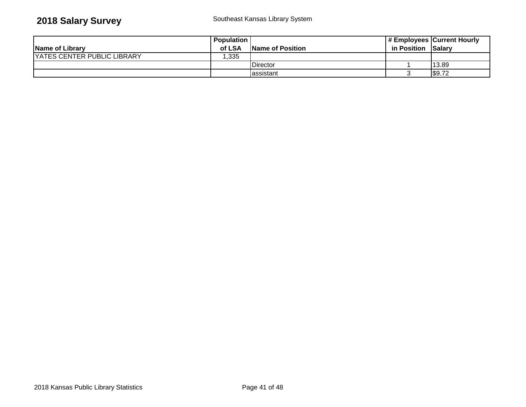|                                    | <b>Population</b> |                  |             | # Employees Current Hourly |
|------------------------------------|-------------------|------------------|-------------|----------------------------|
| Name of Library                    | of LSA            | Name of Position | in Position | <b>Salarv</b>              |
| <b>YATES CENTER PUBLIC LIBRARY</b> | ,335              |                  |             |                            |
|                                    |                   | <b>Director</b>  |             | 13.89                      |
|                                    |                   | lassistant       |             | \$9.72                     |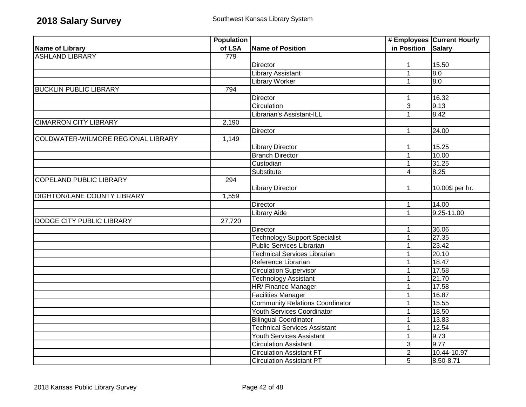|                                    | <b>Population</b> |                                        |                    | # Employees Current Hourly |
|------------------------------------|-------------------|----------------------------------------|--------------------|----------------------------|
| Name of Library                    | of LSA            | <b>Name of Position</b>                | in Position Salary |                            |
| <b>ASHLAND LIBRARY</b>             | 779               |                                        |                    |                            |
|                                    |                   | Director                               | $\mathbf{1}$       | 15.50                      |
|                                    |                   | <b>Library Assistant</b>               | $\mathbf{1}$       | 0.8                        |
|                                    |                   | <b>Library Worker</b>                  | $\mathbf{1}$       | $\overline{0.8}$           |
| <b>BUCKLIN PUBLIC LIBRARY</b>      | 794               |                                        |                    |                            |
|                                    |                   | Director                               |                    | 16.32                      |
|                                    |                   | Circulation                            | $\overline{3}$     | 9.13                       |
|                                    |                   | Librarian's Assistant-ILL              | $\mathbf{1}$       | 8.42                       |
| <b>CIMARRON CITY LIBRARY</b>       | 2,190             |                                        |                    |                            |
|                                    |                   | <b>Director</b>                        | $\mathbf{1}$       | 24.00                      |
| COLDWATER-WILMORE REGIONAL LIBRARY | 1,149             |                                        |                    |                            |
|                                    |                   | <b>Library Director</b>                | $\mathbf 1$        | 15.25                      |
|                                    |                   | <b>Branch Director</b>                 | $\mathbf{1}$       | 10.00                      |
|                                    |                   | Custodian                              | $\mathbf{1}$       | 31.25                      |
|                                    |                   | Substitute                             | $\overline{4}$     | 8.25                       |
| <b>COPELAND PUBLIC LIBRARY</b>     | 294               |                                        |                    |                            |
|                                    |                   | <b>Library Director</b>                | $\mathbf{1}$       | 10.00\$ per hr.            |
| <b>DIGHTON/LANE COUNTY LIBRARY</b> | 1,559             |                                        |                    |                            |
|                                    |                   | Director                               | $\mathbf{1}$       | 14.00                      |
|                                    |                   | <b>Library Aide</b>                    | $\mathbf{1}$       | $9.25 - 11.00$             |
| DODGE CITY PUBLIC LIBRARY          | 27,720            |                                        |                    |                            |
|                                    |                   | <b>Director</b>                        | 1                  | 36.06                      |
|                                    |                   | <b>Technology Support Specialist</b>   | $\mathbf{1}$       | 27.35                      |
|                                    |                   | <b>Public Services Librarian</b>       | $\mathbf{1}$       | 23.42                      |
|                                    |                   | <b>Technical Services Librarian</b>    | 1                  | 20.10                      |
|                                    |                   | Reference Librarian                    | $\mathbf 1$        | 18.47                      |
|                                    |                   | <b>Circulation Supervisor</b>          | $\mathbf 1$        | 17.58                      |
|                                    |                   | <b>Technology Assistant</b>            | $\mathbf 1$        | 21.70                      |
|                                    |                   | HR/ Finance Manager                    | $\mathbf{1}$       | 17.58                      |
|                                    |                   | <b>Facilities Manager</b>              | $\mathbf 1$        | 16.87                      |
|                                    |                   | <b>Community Relations Coordinator</b> | $\mathbf{1}$       | 15.55                      |
|                                    |                   | Youth Services Coordinator             | 1                  | 18.50                      |
|                                    |                   | <b>Bilingual Coordinator</b>           | 1                  | 13.83                      |
|                                    |                   | <b>Technical Services Assistant</b>    | $\mathbf 1$        | 12.54                      |
|                                    |                   | Youth Services Assistant               | 1                  | 9.73                       |
|                                    |                   | <b>Circulation Assistant</b>           | 3                  | 9.77                       |
|                                    |                   | <b>Circulation Assistant FT</b>        | $\overline{2}$     | 10.44-10.97                |
|                                    |                   | <b>Circulation Assistant PT</b>        | $\overline{5}$     | 8.50-8.71                  |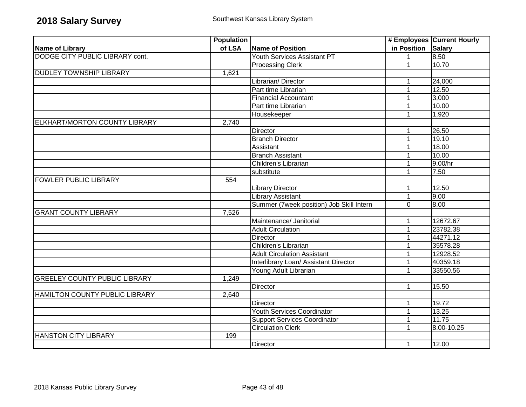|                                       | <b>Population</b> |                                          |              | # Employees Current Hourly |
|---------------------------------------|-------------------|------------------------------------------|--------------|----------------------------|
| <b>Name of Library</b>                | of LSA            | <b>Name of Position</b>                  | in Position  | <b>Salary</b>              |
| DODGE CITY PUBLIC LIBRARY cont.       |                   | Youth Services Assistant PT              | $\mathbf 1$  | 8.50                       |
|                                       |                   | <b>Processing Clerk</b>                  | 1            | 10.70                      |
| <b>DUDLEY TOWNSHIP LIBRARY</b>        | 1,621             |                                          |              |                            |
|                                       |                   | Librarian/Director                       | 1            | 24,000                     |
|                                       |                   | Part time Librarian                      | 1            | 12.50                      |
|                                       |                   | <b>Financial Accountant</b>              |              | 3,000                      |
|                                       |                   | Part time Librarian                      | 1            | 10.00                      |
|                                       |                   | Housekeeper                              | $\mathbf{1}$ | 1,920                      |
| ELKHART/MORTON COUNTY LIBRARY         | 2,740             |                                          |              |                            |
|                                       |                   | <b>Director</b>                          | $\mathbf{1}$ | 26.50                      |
|                                       |                   | <b>Branch Director</b>                   | 1            | 19.10                      |
|                                       |                   | Assistant                                | 1            | 18.00                      |
|                                       |                   | <b>Branch Assistant</b>                  | 1            | 10.00                      |
|                                       |                   | Children's Librarian                     | 1            | 9.00/hr                    |
|                                       |                   | substitute                               | 1            | 7.50                       |
| <b>FOWLER PUBLIC LIBRARY</b>          | 554               |                                          |              |                            |
|                                       |                   | <b>Library Director</b>                  | 1            | 12.50                      |
|                                       |                   | <b>Library Assistant</b>                 | 1            | 9.00                       |
|                                       |                   | Summer (7week position) Job Skill Intern | $\Omega$     | 8.00                       |
| <b>GRANT COUNTY LIBRARY</b>           | 7,526             |                                          |              |                            |
|                                       |                   | Maintenance/ Janitorial                  | 1            | 12672.67                   |
|                                       |                   | <b>Adult Circulation</b>                 |              | 23782.38                   |
|                                       |                   | <b>Director</b>                          | 1            | 44271.12                   |
|                                       |                   | Children's Librarian                     |              | 35578.28                   |
|                                       |                   | <b>Adult Circulation Assistant</b>       | 1            | 12928.52                   |
|                                       |                   | Interlibrary Loan/ Assistant Director    | 1            | 40359.18                   |
|                                       |                   | Young Adult Librarian                    | 1            | 33550.56                   |
| <b>GREELEY COUNTY PUBLIC LIBRARY</b>  | 1,249             |                                          |              |                            |
|                                       |                   | <b>Director</b>                          | 1            | 15.50                      |
| <b>HAMILTON COUNTY PUBLIC LIBRARY</b> | 2,640             |                                          |              |                            |
|                                       |                   | <b>Director</b>                          | 1            | 19.72                      |
|                                       |                   | Youth Services Coordinator               | 1            | 13.25                      |
|                                       |                   | <b>Support Services Coordinator</b>      | 1            | 11.75                      |
|                                       |                   | <b>Circulation Clerk</b>                 | 1            | 8.00-10.25                 |
| <b>HANSTON CITY LIBRARY</b>           | 199               |                                          |              |                            |
|                                       |                   | Director                                 | $\mathbf{1}$ | 12.00                      |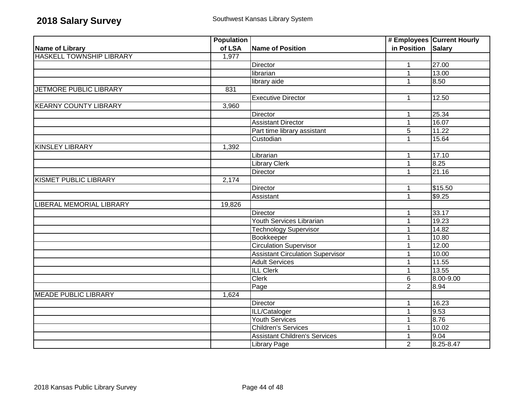|                                 | <b>Population</b> |                                         |                | # Employees Current Hourly |
|---------------------------------|-------------------|-----------------------------------------|----------------|----------------------------|
| Name of Library                 | of LSA            | Name of Position                        | in Position    | <b>Salary</b>              |
| <b>HASKELL TOWNSHIP LIBRARY</b> | 1,977             |                                         |                |                            |
|                                 |                   | Director                                | 1              | 27.00                      |
|                                 |                   | librarian                               | 1              | 13.00                      |
|                                 |                   | library aide                            | 1              | 8.50                       |
| <b>JETMORE PUBLIC LIBRARY</b>   | 831               |                                         |                |                            |
|                                 |                   | <b>Executive Director</b>               | $\mathbf{1}$   | 12.50                      |
| <b>KEARNY COUNTY LIBRARY</b>    | 3,960             |                                         |                |                            |
|                                 |                   | Director                                | $\mathbf{1}$   | 25.34                      |
|                                 |                   | <b>Assistant Director</b>               | $\mathbf{1}$   | 16.07                      |
|                                 |                   | Part time library assistant             | 5              | 11.22                      |
|                                 |                   | Custodian                               | $\mathbf{1}$   | 15.64                      |
| <b>KINSLEY LIBRARY</b>          | 1,392             |                                         |                |                            |
|                                 |                   | Librarian                               | $\mathbf{1}$   | 17.10                      |
|                                 |                   | <b>Library Clerk</b>                    | $\mathbf{1}$   | 8.25                       |
|                                 |                   | <b>Director</b>                         | 1              | 21.16                      |
| <b>KISMET PUBLIC LIBRARY</b>    | 2,174             |                                         |                |                            |
|                                 |                   | <b>Director</b>                         | $\mathbf 1$    | \$15.50                    |
|                                 |                   | Assistant                               | $\mathbf{1}$   | \$9.25                     |
| LIBERAL MEMORIAL LIBRARY        | 19,826            |                                         |                |                            |
|                                 |                   | <b>Director</b>                         | $\mathbf 1$    | 33.17                      |
|                                 |                   | <b>Youth Services Librarian</b>         | 1              | 19.23                      |
|                                 |                   | <b>Technology Supervisor</b>            | 1              | 14.82                      |
|                                 |                   | Bookkeeper                              | 1              | 10.80                      |
|                                 |                   | <b>Circulation Supervisor</b>           | 1              | 12.00                      |
|                                 |                   | <b>Assistant Circulation Supervisor</b> | 1              | 10.00                      |
|                                 |                   | <b>Adult Services</b>                   | 1              | 11.55                      |
|                                 |                   | <b>ILL Clerk</b>                        | 1              | 13.55                      |
|                                 |                   | <b>Clerk</b>                            | 6              | 8.00-9.00                  |
|                                 |                   | Page                                    | $\overline{2}$ | 8.94                       |
| <b>MEADE PUBLIC LIBRARY</b>     | 1,624             |                                         |                |                            |
|                                 |                   | Director                                | 1              | 16.23                      |
|                                 |                   | ILL/Cataloger                           | $\mathbf{1}$   | 9.53                       |
|                                 |                   | <b>Youth Services</b>                   | 1              | 8.76                       |
|                                 |                   | <b>Children's Services</b>              | 1              | 10.02                      |
|                                 |                   | <b>Assistant Children's Services</b>    | 1              | 9.04                       |
|                                 |                   | <b>Library Page</b>                     | $\overline{2}$ | 8.25-8.47                  |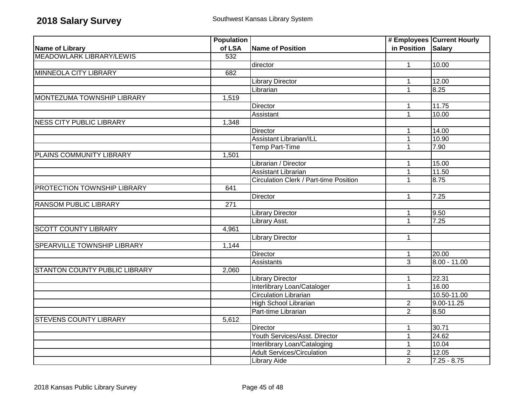|                                   | <b>Population</b> |                                        |                    | # Employees Current Hourly |
|-----------------------------------|-------------------|----------------------------------------|--------------------|----------------------------|
| Name of Library                   | of LSA            | <b>Name of Position</b>                | in Position Salary |                            |
| <b>MEADOWLARK LIBRARY/LEWIS</b>   | 532               |                                        |                    |                            |
|                                   |                   | director                               | $\mathbf{1}$       | 10.00                      |
| <b>MINNEOLA CITY LIBRARY</b>      | 682               |                                        |                    |                            |
|                                   |                   | <b>Library Director</b>                | 1                  | 12.00                      |
|                                   |                   | Librarian                              | $\mathbf{1}$       | 8.25                       |
| <b>MONTEZUMA TOWNSHIP LIBRARY</b> | 1,519             |                                        |                    |                            |
|                                   |                   | Director                               | 1                  | 11.75                      |
|                                   |                   | Assistant                              | $\mathbf{1}$       | 10.00                      |
| <b>NESS CITY PUBLIC LIBRARY</b>   | 1,348             |                                        |                    |                            |
|                                   |                   | Director                               | 1                  | 14.00                      |
|                                   |                   | <b>Assistant Librarian/ILL</b>         | $\mathbf{1}$       | 10.90                      |
|                                   |                   | Temp Part-Time                         | 1                  | 7.90                       |
| PLAINS COMMUNITY LIBRARY          | 1,501             |                                        |                    |                            |
|                                   |                   | Librarian / Director                   | $\mathbf 1$        | 15.00                      |
|                                   |                   | Assistant Librarian                    | $\mathbf{1}$       | 11.50                      |
|                                   |                   | Circulation Clerk / Part-time Position | $\mathbf{1}$       | 8.75                       |
| PROTECTION TOWNSHIP LIBRARY       | 641               |                                        |                    |                            |
|                                   |                   | Director                               | $\mathbf{1}$       | 7.25                       |
| <b>RANSOM PUBLIC LIBRARY</b>      | 271               |                                        |                    |                            |
|                                   |                   | <b>Library Director</b>                | $\mathbf{1}$       | 9.50                       |
|                                   |                   | Library Asst.                          | $\mathbf{1}$       | 7.25                       |
| <b>SCOTT COUNTY LIBRARY</b>       | 4,961             |                                        |                    |                            |
|                                   |                   | <b>Library Director</b>                | $\mathbf{1}$       |                            |
| SPEARVILLE TOWNSHIP LIBRARY       | 1,144             |                                        |                    |                            |
|                                   |                   | Director                               | $\mathbf{1}$       | 20.00                      |
|                                   |                   | <b>Assistants</b>                      | $\overline{3}$     | $8.00 - 11.00$             |
| STANTON COUNTY PUBLIC LIBRARY     | 2,060             |                                        |                    |                            |
|                                   |                   | <b>Library Director</b>                | 1                  | 22.31                      |
|                                   |                   | Interlibrary Loan/Cataloger            | $\mathbf{1}$       | 16.00                      |
|                                   |                   | <b>Circulation Librarian</b>           |                    | 10.50-11.00                |
|                                   |                   | <b>High School Librarian</b>           | $\overline{2}$     | $9.00 - 11.25$             |
|                                   |                   | Part-time Librarian                    | $\overline{2}$     | 8.50                       |
| <b>STEVENS COUNTY LIBRARY</b>     | 5,612             |                                        |                    |                            |
|                                   |                   | <b>Director</b>                        | 1                  | 30.71                      |
|                                   |                   | Youth Services/Asst. Director          | $\mathbf{1}$       | 24.62                      |
|                                   |                   | Interlibrary Loan/Cataloging           | $\mathbf{1}$       | 10.04                      |
|                                   |                   | <b>Adult Services/Circulation</b>      | $\overline{2}$     | 12.05                      |
|                                   |                   | <b>Library Aide</b>                    | $\overline{2}$     | $7.25 - 8.75$              |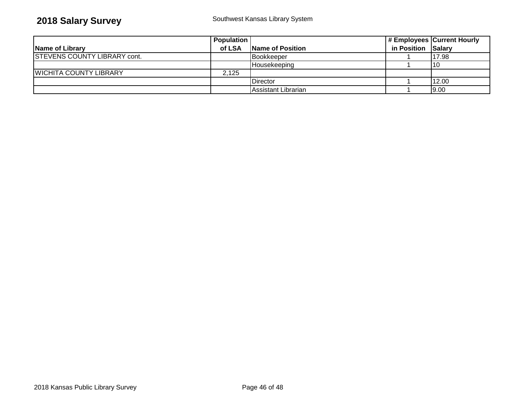## **2018 Salary Survey** Southwest Kansas Library System

|                                     | Population |                     |                    | # Employees Current Hourly |
|-------------------------------------|------------|---------------------|--------------------|----------------------------|
| Name of Library                     | of LSA     | Name of Position    | in Position Salary |                            |
| <b>STEVENS COUNTY LIBRARY cont.</b> |            | <b>Bookkeeper</b>   |                    | 117.98                     |
|                                     |            | IHousekeepina       |                    |                            |
| <b>WICHITA COUNTY LIBRARY</b>       | 2.125      |                     |                    |                            |
|                                     |            | Director            |                    | 12.00                      |
|                                     |            | Assistant Librarian |                    | 9.00                       |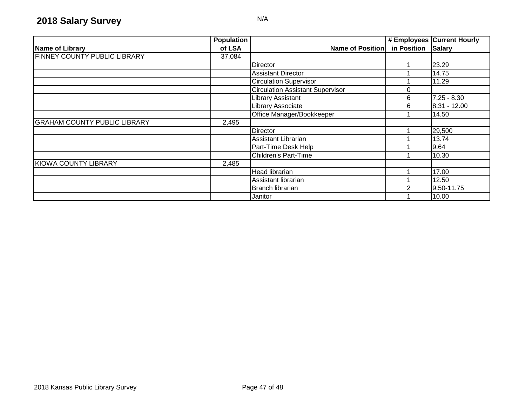|                                     | <b>Population</b> |                                         |             | # Employees Current Hourly |
|-------------------------------------|-------------------|-----------------------------------------|-------------|----------------------------|
| Name of Library                     | of LSA            | Name of Position                        | in Position | <b>Salary</b>              |
| FINNEY COUNTY PUBLIC LIBRARY        | 37,084            |                                         |             |                            |
|                                     |                   | Director                                |             | 23.29                      |
|                                     |                   | <b>Assistant Director</b>               |             | 14.75                      |
|                                     |                   | <b>Circulation Supervisor</b>           |             | 11.29                      |
|                                     |                   | <b>Circulation Assistant Supervisor</b> | 0           |                            |
|                                     |                   | <b>Library Assistant</b>                | 6           | $7.25 - 8.30$              |
|                                     |                   | Library Associate                       | 6           | $8.31 - 12.00$             |
|                                     |                   | Office Manager/Bookkeeper               |             | 14.50                      |
| <b>GRAHAM COUNTY PUBLIC LIBRARY</b> | 2,495             |                                         |             |                            |
|                                     |                   | Director                                |             | 29,500                     |
|                                     |                   | Assistant Librarian                     |             | 13.74                      |
|                                     |                   | Part-Time Desk Help                     |             | 9.64                       |
|                                     |                   | <b>Children's Part-Time</b>             |             | 10.30                      |
| KIOWA COUNTY LIBRARY                | 2,485             |                                         |             |                            |
|                                     |                   | <b>Head librarian</b>                   |             | 17.00                      |
|                                     |                   | Assistant librarian                     |             | 12.50                      |
|                                     |                   | <b>Branch librarian</b>                 | ◠           | 9.50-11.75                 |
|                                     |                   | Janitor                                 |             | 10.00                      |